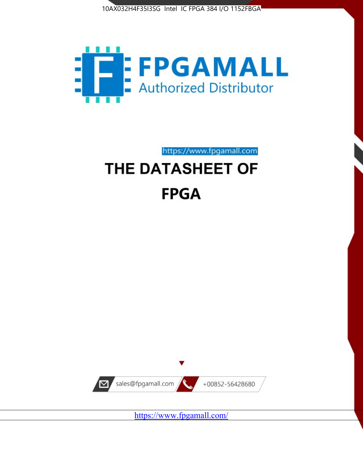



https://www.fpgamall.com THE DATASHEET OF

# **FPGA**



<https://www.fpgamall.com/>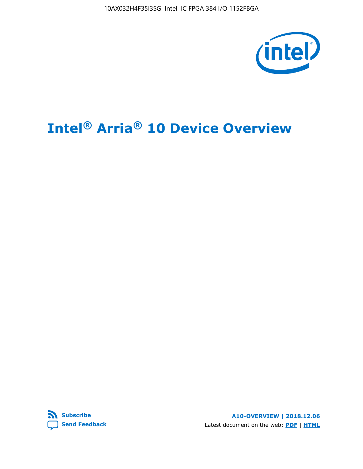

# **Intel® Arria® 10 Device Overview**



**A10-OVERVIEW | 2018.12.06** Latest document on the web: **[PDF](https://www.intel.com/content/dam/www/programmable/us/en/pdfs/literature/hb/arria-10/a10_overview.pdf)** | **[HTML](https://www.intel.com/content/www/us/en/programmable/documentation/sam1403480274650.html)**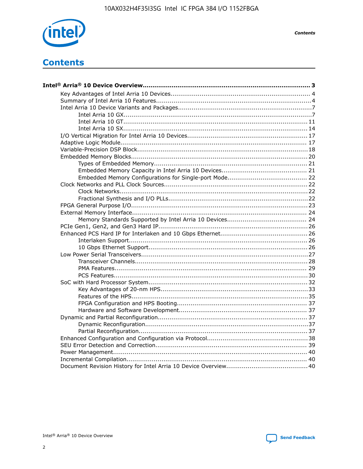

**Contents** 

# **Contents**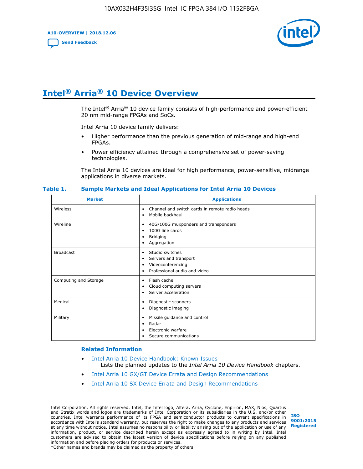**A10-OVERVIEW | 2018.12.06**

**[Send Feedback](mailto:FPGAtechdocfeedback@intel.com?subject=Feedback%20on%20Intel%20Arria%2010%20Device%20Overview%20(A10-OVERVIEW%202018.12.06)&body=We%20appreciate%20your%20feedback.%20In%20your%20comments,%20also%20specify%20the%20page%20number%20or%20paragraph.%20Thank%20you.)**



# **Intel® Arria® 10 Device Overview**

The Intel<sup>®</sup> Arria<sup>®</sup> 10 device family consists of high-performance and power-efficient 20 nm mid-range FPGAs and SoCs.

Intel Arria 10 device family delivers:

- Higher performance than the previous generation of mid-range and high-end FPGAs.
- Power efficiency attained through a comprehensive set of power-saving technologies.

The Intel Arria 10 devices are ideal for high performance, power-sensitive, midrange applications in diverse markets.

| <b>Market</b>         | <b>Applications</b>                                                                                               |
|-----------------------|-------------------------------------------------------------------------------------------------------------------|
| Wireless              | Channel and switch cards in remote radio heads<br>٠<br>Mobile backhaul<br>٠                                       |
| Wireline              | 40G/100G muxponders and transponders<br>٠<br>100G line cards<br>٠<br><b>Bridging</b><br>٠<br>Aggregation<br>٠     |
| <b>Broadcast</b>      | Studio switches<br>٠<br>Servers and transport<br>٠<br>Videoconferencing<br>٠<br>Professional audio and video<br>٠ |
| Computing and Storage | Flash cache<br>٠<br>Cloud computing servers<br>٠<br>Server acceleration<br>٠                                      |
| Medical               | Diagnostic scanners<br>٠<br>Diagnostic imaging<br>٠                                                               |
| Military              | Missile guidance and control<br>٠<br>Radar<br>٠<br>Electronic warfare<br>٠<br>Secure communications<br>٠          |

#### **Table 1. Sample Markets and Ideal Applications for Intel Arria 10 Devices**

#### **Related Information**

- [Intel Arria 10 Device Handbook: Known Issues](http://www.altera.com/support/kdb/solutions/rd07302013_646.html) Lists the planned updates to the *Intel Arria 10 Device Handbook* chapters.
- [Intel Arria 10 GX/GT Device Errata and Design Recommendations](https://www.intel.com/content/www/us/en/programmable/documentation/agz1493851706374.html#yqz1494433888646)
- [Intel Arria 10 SX Device Errata and Design Recommendations](https://www.intel.com/content/www/us/en/programmable/documentation/cru1462832385668.html#cru1462832558642)

Intel Corporation. All rights reserved. Intel, the Intel logo, Altera, Arria, Cyclone, Enpirion, MAX, Nios, Quartus and Stratix words and logos are trademarks of Intel Corporation or its subsidiaries in the U.S. and/or other countries. Intel warrants performance of its FPGA and semiconductor products to current specifications in accordance with Intel's standard warranty, but reserves the right to make changes to any products and services at any time without notice. Intel assumes no responsibility or liability arising out of the application or use of any information, product, or service described herein except as expressly agreed to in writing by Intel. Intel customers are advised to obtain the latest version of device specifications before relying on any published information and before placing orders for products or services. \*Other names and brands may be claimed as the property of others.

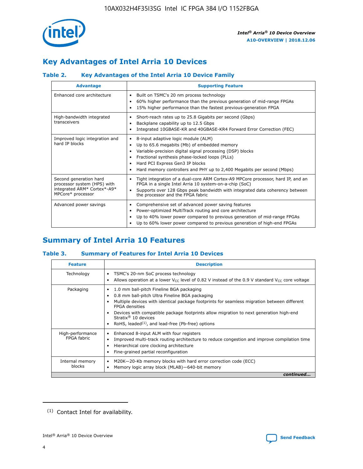

# **Key Advantages of Intel Arria 10 Devices**

# **Table 2. Key Advantages of the Intel Arria 10 Device Family**

| <b>Advantage</b>                                                                                          | <b>Supporting Feature</b>                                                                                                                                                                                                                                                                                                |  |  |  |  |  |  |
|-----------------------------------------------------------------------------------------------------------|--------------------------------------------------------------------------------------------------------------------------------------------------------------------------------------------------------------------------------------------------------------------------------------------------------------------------|--|--|--|--|--|--|
| Enhanced core architecture                                                                                | Built on TSMC's 20 nm process technology<br>٠<br>60% higher performance than the previous generation of mid-range FPGAs<br>٠<br>15% higher performance than the fastest previous-generation FPGA<br>٠                                                                                                                    |  |  |  |  |  |  |
| High-bandwidth integrated<br>transceivers                                                                 | Short-reach rates up to 25.8 Gigabits per second (Gbps)<br>٠<br>Backplane capability up to 12.5 Gbps<br>٠<br>Integrated 10GBASE-KR and 40GBASE-KR4 Forward Error Correction (FEC)<br>٠                                                                                                                                   |  |  |  |  |  |  |
| Improved logic integration and<br>hard IP blocks                                                          | 8-input adaptive logic module (ALM)<br>٠<br>Up to 65.6 megabits (Mb) of embedded memory<br>٠<br>Variable-precision digital signal processing (DSP) blocks<br>Fractional synthesis phase-locked loops (PLLs)<br>Hard PCI Express Gen3 IP blocks<br>Hard memory controllers and PHY up to 2,400 Megabits per second (Mbps) |  |  |  |  |  |  |
| Second generation hard<br>processor system (HPS) with<br>integrated ARM* Cortex*-A9*<br>MPCore* processor | Tight integration of a dual-core ARM Cortex-A9 MPCore processor, hard IP, and an<br>٠<br>FPGA in a single Intel Arria 10 system-on-a-chip (SoC)<br>Supports over 128 Gbps peak bandwidth with integrated data coherency between<br>$\bullet$<br>the processor and the FPGA fabric                                        |  |  |  |  |  |  |
| Advanced power savings                                                                                    | Comprehensive set of advanced power saving features<br>٠<br>Power-optimized MultiTrack routing and core architecture<br>٠<br>Up to 40% lower power compared to previous generation of mid-range FPGAs<br>Up to 60% lower power compared to previous generation of high-end FPGAs                                         |  |  |  |  |  |  |

# **Summary of Intel Arria 10 Features**

## **Table 3. Summary of Features for Intel Arria 10 Devices**

| <b>Feature</b>                  | <b>Description</b>                                                                                                                                                                                                                                                                                                                                                                                 |
|---------------------------------|----------------------------------------------------------------------------------------------------------------------------------------------------------------------------------------------------------------------------------------------------------------------------------------------------------------------------------------------------------------------------------------------------|
| Technology                      | TSMC's 20-nm SoC process technology<br>Allows operation at a lower $V_{\text{CC}}$ level of 0.82 V instead of the 0.9 V standard $V_{\text{CC}}$ core voltage                                                                                                                                                                                                                                      |
| Packaging                       | 1.0 mm ball-pitch Fineline BGA packaging<br>٠<br>0.8 mm ball-pitch Ultra Fineline BGA packaging<br>Multiple devices with identical package footprints for seamless migration between different<br><b>FPGA</b> densities<br>Devices with compatible package footprints allow migration to next generation high-end<br>Stratix $@10$ devices<br>RoHS, leaded $(1)$ , and lead-free (Pb-free) options |
| High-performance<br>FPGA fabric | Enhanced 8-input ALM with four registers<br>Improved multi-track routing architecture to reduce congestion and improve compilation time<br>Hierarchical core clocking architecture<br>Fine-grained partial reconfiguration                                                                                                                                                                         |
| Internal memory<br>blocks       | M20K-20-Kb memory blocks with hard error correction code (ECC)<br>Memory logic array block (MLAB)-640-bit memory                                                                                                                                                                                                                                                                                   |
|                                 | continued                                                                                                                                                                                                                                                                                                                                                                                          |



<sup>(1)</sup> Contact Intel for availability.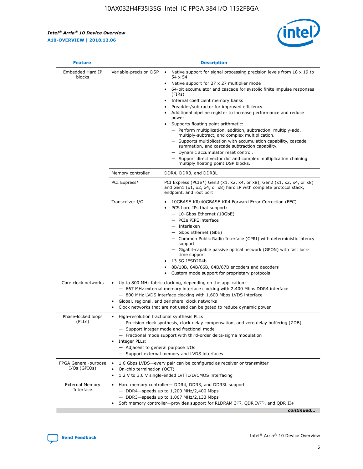r



| <b>Feature</b>                         | <b>Description</b>                                                                                             |                                                                                                                                                                                                                                                                                                                                                                                                                                                                                                                                                                                                                                                                                                                                                                                                                                        |  |  |  |  |  |
|----------------------------------------|----------------------------------------------------------------------------------------------------------------|----------------------------------------------------------------------------------------------------------------------------------------------------------------------------------------------------------------------------------------------------------------------------------------------------------------------------------------------------------------------------------------------------------------------------------------------------------------------------------------------------------------------------------------------------------------------------------------------------------------------------------------------------------------------------------------------------------------------------------------------------------------------------------------------------------------------------------------|--|--|--|--|--|
| Embedded Hard IP<br>blocks             | Variable-precision DSP                                                                                         | Native support for signal processing precision levels from $18 \times 19$ to<br>54 x 54<br>Native support for 27 x 27 multiplier mode<br>64-bit accumulator and cascade for systolic finite impulse responses<br>(FIRs)<br>Internal coefficient memory banks<br>$\bullet$<br>Preadder/subtractor for improved efficiency<br>Additional pipeline register to increase performance and reduce<br>power<br>Supports floating point arithmetic:<br>- Perform multiplication, addition, subtraction, multiply-add,<br>multiply-subtract, and complex multiplication.<br>- Supports multiplication with accumulation capability, cascade<br>summation, and cascade subtraction capability.<br>- Dynamic accumulator reset control.<br>- Support direct vector dot and complex multiplication chaining<br>multiply floating point DSP blocks. |  |  |  |  |  |
|                                        | Memory controller                                                                                              | DDR4, DDR3, and DDR3L                                                                                                                                                                                                                                                                                                                                                                                                                                                                                                                                                                                                                                                                                                                                                                                                                  |  |  |  |  |  |
|                                        | PCI Express*                                                                                                   | PCI Express (PCIe*) Gen3 (x1, x2, x4, or x8), Gen2 (x1, x2, x4, or x8)<br>and Gen1 (x1, x2, x4, or x8) hard IP with complete protocol stack,<br>endpoint, and root port                                                                                                                                                                                                                                                                                                                                                                                                                                                                                                                                                                                                                                                                |  |  |  |  |  |
|                                        | Transceiver I/O                                                                                                | 10GBASE-KR/40GBASE-KR4 Forward Error Correction (FEC)<br>PCS hard IPs that support:<br>$\bullet$<br>- 10-Gbps Ethernet (10GbE)<br>- PCIe PIPE interface<br>$-$ Interlaken<br>- Gbps Ethernet (GbE)<br>- Common Public Radio Interface (CPRI) with deterministic latency<br>support<br>- Gigabit-capable passive optical network (GPON) with fast lock-<br>time support<br>13.5G JESD204b<br>$\bullet$<br>8B/10B, 64B/66B, 64B/67B encoders and decoders<br>Custom mode support for proprietary protocols                                                                                                                                                                                                                                                                                                                               |  |  |  |  |  |
| Core clock networks                    | $\bullet$<br>$\bullet$                                                                                         | Up to 800 MHz fabric clocking, depending on the application:<br>- 667 MHz external memory interface clocking with 2,400 Mbps DDR4 interface<br>- 800 MHz LVDS interface clocking with 1,600 Mbps LVDS interface<br>Global, regional, and peripheral clock networks<br>Clock networks that are not used can be gated to reduce dynamic power                                                                                                                                                                                                                                                                                                                                                                                                                                                                                            |  |  |  |  |  |
| Phase-locked loops<br>(PLLs)           | High-resolution fractional synthesis PLLs:<br>$\bullet$<br>Integer PLLs:<br>- Adjacent to general purpose I/Os | - Precision clock synthesis, clock delay compensation, and zero delay buffering (ZDB)<br>- Support integer mode and fractional mode<br>- Fractional mode support with third-order delta-sigma modulation<br>- Support external memory and LVDS interfaces                                                                                                                                                                                                                                                                                                                                                                                                                                                                                                                                                                              |  |  |  |  |  |
| FPGA General-purpose<br>$I/Os$ (GPIOs) | On-chip termination (OCT)                                                                                      | 1.6 Gbps LVDS-every pair can be configured as receiver or transmitter<br>1.2 V to 3.0 V single-ended LVTTL/LVCMOS interfacing                                                                                                                                                                                                                                                                                                                                                                                                                                                                                                                                                                                                                                                                                                          |  |  |  |  |  |
| <b>External Memory</b><br>Interface    |                                                                                                                | Hard memory controller- DDR4, DDR3, and DDR3L support<br>$-$ DDR4 $-$ speeds up to 1,200 MHz/2,400 Mbps<br>- DDR3-speeds up to 1,067 MHz/2,133 Mbps<br>Soft memory controller—provides support for RLDRAM $3^{(2)}$ , QDR IV $^{(2)}$ , and QDR II+<br>continued                                                                                                                                                                                                                                                                                                                                                                                                                                                                                                                                                                       |  |  |  |  |  |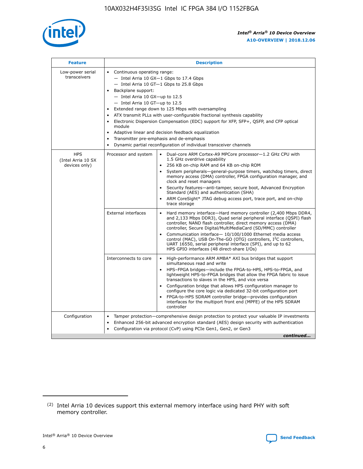

| <b>Feature</b>                                    | <b>Description</b>                                                                                                                                                                                                                                                                                                                                                                                                                                                                                                                                                                                                                                  |
|---------------------------------------------------|-----------------------------------------------------------------------------------------------------------------------------------------------------------------------------------------------------------------------------------------------------------------------------------------------------------------------------------------------------------------------------------------------------------------------------------------------------------------------------------------------------------------------------------------------------------------------------------------------------------------------------------------------------|
| Low-power serial<br>transceivers                  | • Continuous operating range:<br>- Intel Arria 10 GX-1 Gbps to 17.4 Gbps<br>- Intel Arria 10 GT-1 Gbps to 25.8 Gbps<br>Backplane support:<br>- Intel Arria 10 GX-up to 12.5<br>- Intel Arria 10 GT-up to 12.5<br>Extended range down to 125 Mbps with oversampling<br>ATX transmit PLLs with user-configurable fractional synthesis capability<br>Electronic Dispersion Compensation (EDC) support for XFP, SFP+, QSFP, and CFP optical<br>module<br>Adaptive linear and decision feedback equalization<br>$\bullet$<br>Transmitter pre-emphasis and de-emphasis<br>$\bullet$<br>Dynamic partial reconfiguration of individual transceiver channels |
| <b>HPS</b><br>(Intel Arria 10 SX<br>devices only) | Dual-core ARM Cortex-A9 MPCore processor-1.2 GHz CPU with<br>Processor and system<br>$\bullet$<br>1.5 GHz overdrive capability<br>256 KB on-chip RAM and 64 KB on-chip ROM<br>System peripherals—general-purpose timers, watchdog timers, direct<br>memory access (DMA) controller, FPGA configuration manager, and<br>clock and reset managers<br>Security features-anti-tamper, secure boot, Advanced Encryption<br>Standard (AES) and authentication (SHA)<br>ARM CoreSight* JTAG debug access port, trace port, and on-chip<br>trace storage                                                                                                    |
|                                                   | <b>External interfaces</b><br>Hard memory interface-Hard memory controller (2,400 Mbps DDR4,<br>$\bullet$<br>and 2,133 Mbps DDR3), Quad serial peripheral interface (QSPI) flash<br>controller, NAND flash controller, direct memory access (DMA)<br>controller, Secure Digital/MultiMediaCard (SD/MMC) controller<br>Communication interface-10/100/1000 Ethernet media access<br>control (MAC), USB On-The-GO (OTG) controllers, I <sup>2</sup> C controllers,<br>UART 16550, serial peripheral interface (SPI), and up to 62<br>HPS GPIO interfaces (48 direct-share I/Os)                                                                       |
|                                                   | High-performance ARM AMBA* AXI bus bridges that support<br>Interconnects to core<br>$\bullet$<br>simultaneous read and write<br>HPS-FPGA bridges-include the FPGA-to-HPS, HPS-to-FPGA, and<br>$\bullet$<br>lightweight HPS-to-FPGA bridges that allow the FPGA fabric to issue<br>transactions to slaves in the HPS, and vice versa<br>Configuration bridge that allows HPS configuration manager to<br>configure the core logic via dedicated 32-bit configuration port<br>FPGA-to-HPS SDRAM controller bridge-provides configuration<br>interfaces for the multiport front end (MPFE) of the HPS SDRAM<br>controller                              |
| Configuration                                     | Tamper protection—comprehensive design protection to protect your valuable IP investments<br>Enhanced 256-bit advanced encryption standard (AES) design security with authentication<br>٠<br>Configuration via protocol (CvP) using PCIe Gen1, Gen2, or Gen3<br>continued                                                                                                                                                                                                                                                                                                                                                                           |

<sup>(2)</sup> Intel Arria 10 devices support this external memory interface using hard PHY with soft memory controller.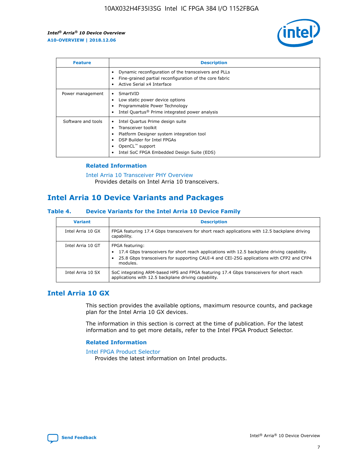

| <b>Feature</b>     | <b>Description</b>                                                                                                                                                                                               |
|--------------------|------------------------------------------------------------------------------------------------------------------------------------------------------------------------------------------------------------------|
|                    | Dynamic reconfiguration of the transceivers and PLLs<br>Fine-grained partial reconfiguration of the core fabric<br>Active Serial x4 Interface<br>$\bullet$                                                       |
| Power management   | SmartVID<br>Low static power device options<br>Programmable Power Technology<br>Intel Quartus <sup>®</sup> Prime integrated power analysis                                                                       |
| Software and tools | Intel Quartus Prime design suite<br>Transceiver toolkit<br>Platform Designer system integration tool<br>DSP Builder for Intel FPGAs<br>OpenCL <sup>™</sup> support<br>Intel SoC FPGA Embedded Design Suite (EDS) |

## **Related Information**

[Intel Arria 10 Transceiver PHY Overview](https://www.intel.com/content/www/us/en/programmable/documentation/nik1398707230472.html#nik1398706768037) Provides details on Intel Arria 10 transceivers.

# **Intel Arria 10 Device Variants and Packages**

#### **Table 4. Device Variants for the Intel Arria 10 Device Family**

| <b>Variant</b>    | <b>Description</b>                                                                                                                                                                                                     |
|-------------------|------------------------------------------------------------------------------------------------------------------------------------------------------------------------------------------------------------------------|
| Intel Arria 10 GX | FPGA featuring 17.4 Gbps transceivers for short reach applications with 12.5 backplane driving<br>capability.                                                                                                          |
| Intel Arria 10 GT | FPGA featuring:<br>17.4 Gbps transceivers for short reach applications with 12.5 backplane driving capability.<br>25.8 Gbps transceivers for supporting CAUI-4 and CEI-25G applications with CFP2 and CFP4<br>modules. |
| Intel Arria 10 SX | SoC integrating ARM-based HPS and FPGA featuring 17.4 Gbps transceivers for short reach<br>applications with 12.5 backplane driving capability.                                                                        |

# **Intel Arria 10 GX**

This section provides the available options, maximum resource counts, and package plan for the Intel Arria 10 GX devices.

The information in this section is correct at the time of publication. For the latest information and to get more details, refer to the Intel FPGA Product Selector.

## **Related Information**

#### [Intel FPGA Product Selector](http://www.altera.com/products/selector/psg-selector.html) Provides the latest information on Intel products.

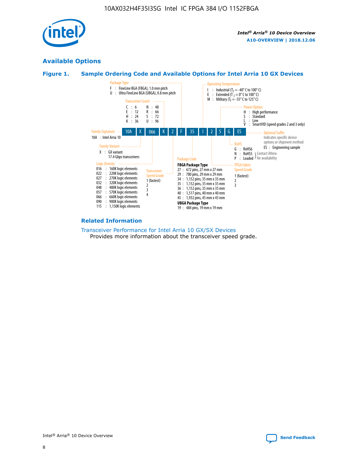

# **Available Options**





#### **Related Information**

[Transceiver Performance for Intel Arria 10 GX/SX Devices](https://www.intel.com/content/www/us/en/programmable/documentation/mcn1413182292568.html#mcn1413213965502) Provides more information about the transceiver speed grade.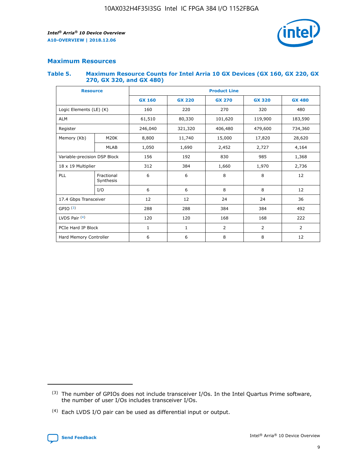

## **Maximum Resources**

#### **Table 5. Maximum Resource Counts for Intel Arria 10 GX Devices (GX 160, GX 220, GX 270, GX 320, and GX 480)**

| <b>Resource</b>         |                                                          | <b>Product Line</b> |                                                 |         |                |                |  |  |  |
|-------------------------|----------------------------------------------------------|---------------------|-------------------------------------------------|---------|----------------|----------------|--|--|--|
|                         |                                                          | <b>GX 160</b>       | <b>GX 220</b><br><b>GX 270</b><br><b>GX 320</b> |         |                | <b>GX 480</b>  |  |  |  |
| Logic Elements (LE) (K) |                                                          | 160                 | 220                                             | 270     | 320            | 480            |  |  |  |
| <b>ALM</b>              |                                                          | 61,510              | 80,330                                          | 101,620 | 119,900        | 183,590        |  |  |  |
| Register                |                                                          | 246,040             | 321,320                                         | 406,480 | 479,600        | 734,360        |  |  |  |
| Memory (Kb)             | M <sub>20</sub> K                                        | 8,800               | 11,740                                          | 15,000  | 17,820         | 28,620         |  |  |  |
| <b>MLAB</b>             |                                                          | 1,050               | 1,690                                           | 2,452   | 2,727          | 4,164          |  |  |  |
|                         | Variable-precision DSP Block<br>156<br>192<br>830<br>985 |                     |                                                 |         | 1,368          |                |  |  |  |
| 18 x 19 Multiplier      |                                                          | 312                 | 384                                             | 1,660   | 1,970          | 2,736          |  |  |  |
| PLL                     | Fractional<br>Synthesis                                  | 6                   | 6                                               | 8       | 8              | 12             |  |  |  |
|                         | I/O                                                      | 6                   | 6                                               | 8       | 8              | 12             |  |  |  |
| 17.4 Gbps Transceiver   |                                                          | 12                  | 12                                              | 24      | 24             | 36             |  |  |  |
| GPIO <sup>(3)</sup>     |                                                          | 288                 | 288                                             | 384     | 384            | 492            |  |  |  |
| LVDS Pair $(4)$         |                                                          | 120                 | 120                                             | 168     | 168            | 222            |  |  |  |
| PCIe Hard IP Block      |                                                          | 1                   | 1                                               | 2       | $\overline{2}$ | $\overline{2}$ |  |  |  |
| Hard Memory Controller  |                                                          | 6                   | 6                                               | 8       | 8              | 12             |  |  |  |

<sup>(4)</sup> Each LVDS I/O pair can be used as differential input or output.



<sup>(3)</sup> The number of GPIOs does not include transceiver I/Os. In the Intel Quartus Prime software, the number of user I/Os includes transceiver I/Os.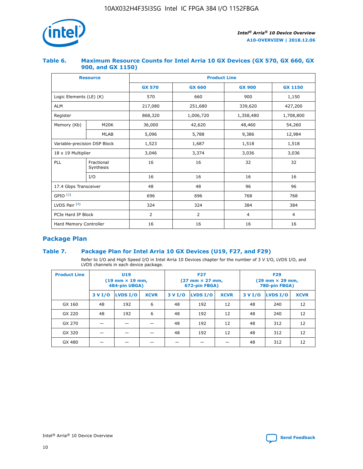

## **Table 6. Maximum Resource Counts for Intel Arria 10 GX Devices (GX 570, GX 660, GX 900, and GX 1150)**

|                              | <b>Resource</b>         | <b>Product Line</b> |                |                  |                |  |  |  |
|------------------------------|-------------------------|---------------------|----------------|------------------|----------------|--|--|--|
|                              |                         | <b>GX 570</b>       | <b>GX 660</b>  | <b>GX 900</b>    | <b>GX 1150</b> |  |  |  |
| Logic Elements (LE) (K)      |                         | 570                 | 660            | 900              | 1,150          |  |  |  |
| <b>ALM</b>                   |                         | 217,080             | 251,680        | 339,620          | 427,200        |  |  |  |
| Register                     |                         | 868,320             | 1,006,720      | 1,358,480        | 1,708,800      |  |  |  |
| Memory (Kb)                  | <b>M20K</b>             | 36,000              | 42,620         | 48,460<br>54,260 |                |  |  |  |
|                              | <b>MLAB</b>             | 5,096               | 5,788          | 9,386            | 12,984         |  |  |  |
| Variable-precision DSP Block |                         | 1,523               | 1,687          | 1,518            | 1,518          |  |  |  |
| 18 x 19 Multiplier           |                         | 3,046               | 3,374          | 3,036            | 3,036          |  |  |  |
| PLL                          | Fractional<br>Synthesis | 16                  | 16             | 32               | 32             |  |  |  |
|                              | I/O                     | 16                  | 16             | 16               | 16             |  |  |  |
| 17.4 Gbps Transceiver        |                         | 48                  | 48             | 96               | 96             |  |  |  |
| GPIO <sup>(3)</sup>          |                         | 696                 | 696            | 768              | 768            |  |  |  |
| LVDS Pair $(4)$              |                         | 324                 | 324            | 384              | 384            |  |  |  |
| PCIe Hard IP Block           |                         | 2                   | $\overline{2}$ | $\overline{4}$   | $\overline{4}$ |  |  |  |
| Hard Memory Controller       |                         | 16                  | 16             | 16               | 16             |  |  |  |

# **Package Plan**

## **Table 7. Package Plan for Intel Arria 10 GX Devices (U19, F27, and F29)**

Refer to I/O and High Speed I/O in Intel Arria 10 Devices chapter for the number of 3 V I/O, LVDS I/O, and LVDS channels in each device package.

| <b>Product Line</b> | <b>U19</b><br>$(19 \text{ mm} \times 19 \text{ mm})$<br>484-pin UBGA) |          |             |         | <b>F27</b><br>(27 mm × 27 mm,<br>672-pin FBGA) |             | <b>F29</b><br>(29 mm × 29 mm,<br>780-pin FBGA) |          |             |  |
|---------------------|-----------------------------------------------------------------------|----------|-------------|---------|------------------------------------------------|-------------|------------------------------------------------|----------|-------------|--|
|                     | 3 V I/O                                                               | LVDS I/O | <b>XCVR</b> | 3 V I/O | LVDS I/O                                       | <b>XCVR</b> | 3 V I/O                                        | LVDS I/O | <b>XCVR</b> |  |
| GX 160              | 48                                                                    | 192      | 6           | 48      | 192                                            | 12          | 48                                             | 240      | 12          |  |
| GX 220              | 48                                                                    | 192      | 6           | 48      | 192                                            | 12          | 48                                             | 240      | 12          |  |
| GX 270              |                                                                       |          |             | 48      | 192                                            | 12          | 48                                             | 312      | 12          |  |
| GX 320              |                                                                       |          |             | 48      | 192                                            | 12          | 48                                             | 312      | 12          |  |
| GX 480              |                                                                       |          |             |         |                                                |             | 48                                             | 312      | 12          |  |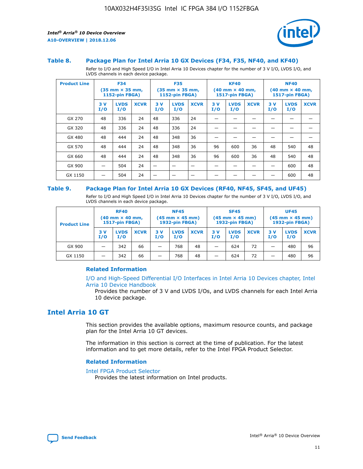

#### **Table 8. Package Plan for Intel Arria 10 GX Devices (F34, F35, NF40, and KF40)**

Refer to I/O and High Speed I/O in Intel Arria 10 Devices chapter for the number of 3 V I/O, LVDS I/O, and LVDS channels in each device package.

| <b>Product Line</b> | <b>F34</b><br>$(35 \text{ mm} \times 35 \text{ mm})$<br>1152-pin FBGA) |                    | <b>F35</b><br>$(35$ mm $\times$ 35 mm,<br><b>1152-pin FBGA)</b> |           | <b>KF40</b><br>$(40$ mm $\times$ 40 mm,<br>1517-pin FBGA) |             |           | <b>NF40</b><br>$(40 \text{ mm} \times 40 \text{ mm})$<br><b>1517-pin FBGA)</b> |             |            |                    |             |
|---------------------|------------------------------------------------------------------------|--------------------|-----------------------------------------------------------------|-----------|-----------------------------------------------------------|-------------|-----------|--------------------------------------------------------------------------------|-------------|------------|--------------------|-------------|
|                     | 3V<br>I/O                                                              | <b>LVDS</b><br>I/O | <b>XCVR</b>                                                     | 3V<br>I/O | <b>LVDS</b><br>I/O                                        | <b>XCVR</b> | 3V<br>I/O | <b>LVDS</b><br>I/O                                                             | <b>XCVR</b> | 3 V<br>I/O | <b>LVDS</b><br>I/O | <b>XCVR</b> |
| GX 270              | 48                                                                     | 336                | 24                                                              | 48        | 336                                                       | 24          |           |                                                                                |             |            |                    |             |
| GX 320              | 48                                                                     | 336                | 24                                                              | 48        | 336                                                       | 24          |           |                                                                                |             |            |                    |             |
| GX 480              | 48                                                                     | 444                | 24                                                              | 48        | 348                                                       | 36          |           |                                                                                |             |            |                    |             |
| GX 570              | 48                                                                     | 444                | 24                                                              | 48        | 348                                                       | 36          | 96        | 600                                                                            | 36          | 48         | 540                | 48          |
| GX 660              | 48                                                                     | 444                | 24                                                              | 48        | 348                                                       | 36          | 96        | 600                                                                            | 36          | 48         | 540                | 48          |
| GX 900              |                                                                        | 504                | 24                                                              | –         |                                                           |             |           |                                                                                |             |            | 600                | 48          |
| GX 1150             |                                                                        | 504                | 24                                                              |           |                                                           |             |           |                                                                                |             |            | 600                | 48          |

#### **Table 9. Package Plan for Intel Arria 10 GX Devices (RF40, NF45, SF45, and UF45)**

Refer to I/O and High Speed I/O in Intel Arria 10 Devices chapter for the number of 3 V I/O, LVDS I/O, and LVDS channels in each device package.

| <b>Product Line</b> | <b>RF40</b><br>$(40 \text{ mm} \times 40 \text{ mm})$<br>1517-pin FBGA) |                    | <b>NF45</b><br>$(45 \text{ mm} \times 45 \text{ mm})$<br><b>1932-pin FBGA)</b> |           |                    | <b>SF45</b><br>$(45 \text{ mm} \times 45 \text{ mm})$<br><b>1932-pin FBGA)</b> |            |                    | <b>UF45</b><br>$(45 \text{ mm} \times 45 \text{ mm})$<br>1932-pin FBGA) |           |                    |             |
|---------------------|-------------------------------------------------------------------------|--------------------|--------------------------------------------------------------------------------|-----------|--------------------|--------------------------------------------------------------------------------|------------|--------------------|-------------------------------------------------------------------------|-----------|--------------------|-------------|
|                     | 3V<br>I/O                                                               | <b>LVDS</b><br>I/O | <b>XCVR</b>                                                                    | 3V<br>I/O | <b>LVDS</b><br>I/O | <b>XCVR</b>                                                                    | 3 V<br>I/O | <b>LVDS</b><br>I/O | <b>XCVR</b>                                                             | 3V<br>I/O | <b>LVDS</b><br>I/O | <b>XCVR</b> |
| GX 900              | -                                                                       | 342                | 66                                                                             | -         | 768                | 48                                                                             | -          | 624                | 72                                                                      | -         | 480                | 96          |
| GX 1150             | -                                                                       | 342                | 66                                                                             | -         | 768                | 48                                                                             |            | 624                | 72                                                                      |           | 480                | 96          |

## **Related Information**

[I/O and High-Speed Differential I/O Interfaces in Intel Arria 10 Devices chapter, Intel](https://www.intel.com/content/www/us/en/programmable/documentation/sam1403482614086.html#sam1403482030321) [Arria 10 Device Handbook](https://www.intel.com/content/www/us/en/programmable/documentation/sam1403482614086.html#sam1403482030321)

Provides the number of 3 V and LVDS I/Os, and LVDS channels for each Intel Arria 10 device package.

# **Intel Arria 10 GT**

This section provides the available options, maximum resource counts, and package plan for the Intel Arria 10 GT devices.

The information in this section is correct at the time of publication. For the latest information and to get more details, refer to the Intel FPGA Product Selector.

#### **Related Information**

#### [Intel FPGA Product Selector](http://www.altera.com/products/selector/psg-selector.html)

Provides the latest information on Intel products.

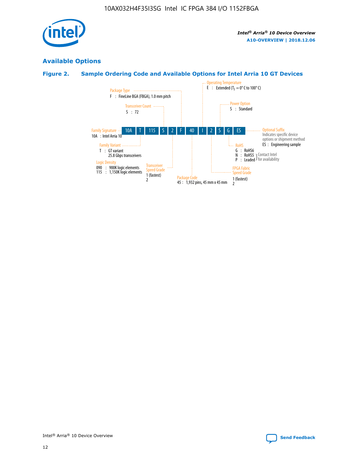

# **Available Options**

# **Figure 2. Sample Ordering Code and Available Options for Intel Arria 10 GT Devices**

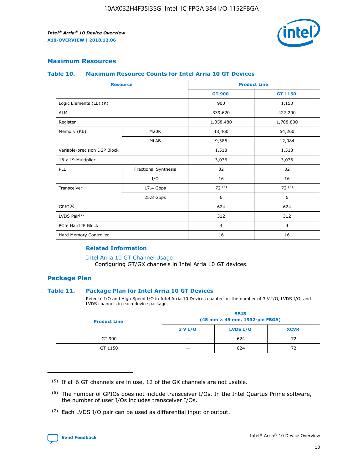

## **Maximum Resources**

#### **Table 10. Maximum Resource Counts for Intel Arria 10 GT Devices**

|                              | <b>Resource</b>      | <b>Product Line</b> |                |  |
|------------------------------|----------------------|---------------------|----------------|--|
|                              |                      | <b>GT 900</b>       | GT 1150        |  |
| Logic Elements (LE) (K)      |                      | 900                 | 1,150          |  |
| <b>ALM</b>                   |                      | 339,620             | 427,200        |  |
| Register                     |                      | 1,358,480           | 1,708,800      |  |
| Memory (Kb)                  | M20K                 | 48,460              | 54,260         |  |
|                              | <b>MLAB</b>          | 9,386               | 12,984         |  |
| Variable-precision DSP Block |                      | 1,518               | 1,518          |  |
| 18 x 19 Multiplier           |                      | 3,036               | 3,036          |  |
| PLL                          | Fractional Synthesis | 32                  | 32             |  |
|                              | I/O                  | 16                  | 16             |  |
| Transceiver                  | 17.4 Gbps            | 72(5)               | 72(5)          |  |
|                              | 25.8 Gbps            | 6                   | 6              |  |
| GPIO <sup>(6)</sup>          |                      | 624                 | 624            |  |
| LVDS Pair $(7)$              |                      | 312                 | 312            |  |
| PCIe Hard IP Block           |                      | $\overline{4}$      | $\overline{4}$ |  |
| Hard Memory Controller       |                      | 16                  | 16             |  |

## **Related Information**

#### [Intel Arria 10 GT Channel Usage](https://www.intel.com/content/www/us/en/programmable/documentation/nik1398707230472.html#nik1398707008178)

Configuring GT/GX channels in Intel Arria 10 GT devices.

## **Package Plan**

## **Table 11. Package Plan for Intel Arria 10 GT Devices**

Refer to I/O and High Speed I/O in Intel Arria 10 Devices chapter for the number of 3 V I/O, LVDS I/O, and LVDS channels in each device package.

| <b>Product Line</b> | <b>SF45</b><br>(45 mm × 45 mm, 1932-pin FBGA) |                 |             |  |  |  |
|---------------------|-----------------------------------------------|-----------------|-------------|--|--|--|
|                     | 3 V I/O                                       | <b>LVDS I/O</b> | <b>XCVR</b> |  |  |  |
| GT 900              |                                               | 624             | 72          |  |  |  |
| GT 1150             |                                               | 624             | 72          |  |  |  |

<sup>(7)</sup> Each LVDS I/O pair can be used as differential input or output.



 $(5)$  If all 6 GT channels are in use, 12 of the GX channels are not usable.

<sup>(6)</sup> The number of GPIOs does not include transceiver I/Os. In the Intel Quartus Prime software, the number of user I/Os includes transceiver I/Os.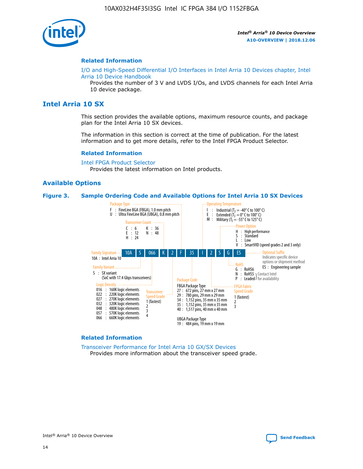

#### **Related Information**

[I/O and High-Speed Differential I/O Interfaces in Intel Arria 10 Devices chapter, Intel](https://www.intel.com/content/www/us/en/programmable/documentation/sam1403482614086.html#sam1403482030321) [Arria 10 Device Handbook](https://www.intel.com/content/www/us/en/programmable/documentation/sam1403482614086.html#sam1403482030321)

Provides the number of 3 V and LVDS I/Os, and LVDS channels for each Intel Arria 10 device package.

# **Intel Arria 10 SX**

This section provides the available options, maximum resource counts, and package plan for the Intel Arria 10 SX devices.

The information in this section is correct at the time of publication. For the latest information and to get more details, refer to the Intel FPGA Product Selector.

#### **Related Information**

[Intel FPGA Product Selector](http://www.altera.com/products/selector/psg-selector.html) Provides the latest information on Intel products.

## **Available Options**

#### **Figure 3. Sample Ordering Code and Available Options for Intel Arria 10 SX Devices**



#### **Related Information**

[Transceiver Performance for Intel Arria 10 GX/SX Devices](https://www.intel.com/content/www/us/en/programmable/documentation/mcn1413182292568.html#mcn1413213965502) Provides more information about the transceiver speed grade.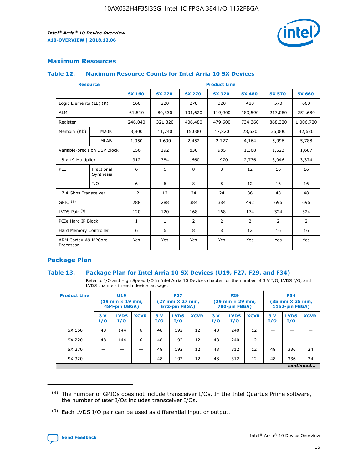

## **Maximum Resources**

#### **Table 12. Maximum Resource Counts for Intel Arria 10 SX Devices**

| <b>Resource</b>                   |                         | <b>Product Line</b> |               |                |                |                |                |                |  |  |  |
|-----------------------------------|-------------------------|---------------------|---------------|----------------|----------------|----------------|----------------|----------------|--|--|--|
|                                   |                         | <b>SX 160</b>       | <b>SX 220</b> | <b>SX 270</b>  | <b>SX 320</b>  | <b>SX 480</b>  | <b>SX 570</b>  | <b>SX 660</b>  |  |  |  |
| Logic Elements (LE) (K)           |                         | 160                 | 220           | 270            | 320            | 480            | 570            | 660            |  |  |  |
| <b>ALM</b>                        |                         | 61,510              | 80,330        | 101,620        | 119,900        | 183,590        | 217,080        | 251,680        |  |  |  |
| Register                          |                         | 246,040             | 321,320       | 406,480        | 479,600        | 734,360        | 868,320        | 1,006,720      |  |  |  |
| Memory (Kb)                       | M <sub>20</sub> K       | 8,800               | 11,740        | 15,000         | 17,820         | 28,620         | 36,000         | 42,620         |  |  |  |
|                                   | <b>MLAB</b>             | 1,050               | 1,690         | 2,452          | 2,727          | 4,164          | 5,096          | 5,788          |  |  |  |
| Variable-precision DSP Block      |                         | 156                 | 192           | 830            | 985            | 1,368          | 1,523          | 1,687          |  |  |  |
| 18 x 19 Multiplier                |                         | 312                 | 384           | 1,660          | 1,970          | 2,736          | 3,046          | 3,374          |  |  |  |
| PLL                               | Fractional<br>Synthesis | 6                   | 6             | 8              | 8              | 12             | 16             | 16             |  |  |  |
|                                   | I/O                     | 6                   | 6             | 8              | 8              | 12             | 16             | 16             |  |  |  |
| 17.4 Gbps Transceiver             |                         | 12                  | 12            | 24             | 24             | 36             | 48             | 48             |  |  |  |
| GPIO <sup>(8)</sup>               |                         | 288                 | 288           | 384            | 384            | 492            | 696            | 696            |  |  |  |
| LVDS Pair $(9)$                   |                         | 120                 | 120           | 168            | 168            | 174            | 324            | 324            |  |  |  |
| PCIe Hard IP Block                |                         | $\mathbf{1}$        | $\mathbf{1}$  | $\overline{2}$ | $\overline{2}$ | $\overline{2}$ | $\overline{2}$ | $\overline{2}$ |  |  |  |
| Hard Memory Controller            |                         | 6                   | 6             | 8              | 8              | 12             | 16             | 16             |  |  |  |
| ARM Cortex-A9 MPCore<br>Processor |                         | Yes                 | Yes           | Yes            | Yes            | Yes            | Yes            | <b>Yes</b>     |  |  |  |

## **Package Plan**

## **Table 13. Package Plan for Intel Arria 10 SX Devices (U19, F27, F29, and F34)**

Refer to I/O and High Speed I/O in Intel Arria 10 Devices chapter for the number of 3 V I/O, LVDS I/O, and LVDS channels in each device package.

| <b>Product Line</b> | U19<br>$(19 \text{ mm} \times 19 \text{ mm})$ .<br>484-pin UBGA) |                    |             | <b>F27</b><br>$(27 \text{ mm} \times 27 \text{ mm})$<br>672-pin FBGA) |                    | <b>F29</b><br>$(29 \text{ mm} \times 29 \text{ mm})$<br>780-pin FBGA) |           |                    | <b>F34</b><br>$(35 \text{ mm} \times 35 \text{ mm})$<br><b>1152-pin FBGA)</b> |           |                    |             |
|---------------------|------------------------------------------------------------------|--------------------|-------------|-----------------------------------------------------------------------|--------------------|-----------------------------------------------------------------------|-----------|--------------------|-------------------------------------------------------------------------------|-----------|--------------------|-------------|
|                     | 3V<br>I/O                                                        | <b>LVDS</b><br>I/O | <b>XCVR</b> | 3V<br>I/O                                                             | <b>LVDS</b><br>I/O | <b>XCVR</b>                                                           | 3V<br>I/O | <b>LVDS</b><br>I/O | <b>XCVR</b>                                                                   | 3V<br>I/O | <b>LVDS</b><br>I/O | <b>XCVR</b> |
| SX 160              | 48                                                               | 144                | 6           | 48                                                                    | 192                | 12                                                                    | 48        | 240                | 12                                                                            |           |                    |             |
| SX 220              | 48                                                               | 144                | 6           | 48                                                                    | 192                | 12                                                                    | 48        | 240                | 12                                                                            |           |                    |             |
| SX 270              |                                                                  |                    |             | 48                                                                    | 192                | 12                                                                    | 48        | 312                | 12                                                                            | 48        | 336                | 24          |
| SX 320              |                                                                  |                    |             | 48                                                                    | 192                | 12                                                                    | 48        | 312                | 12                                                                            | 48        | 336                | 24          |
|                     | continued                                                        |                    |             |                                                                       |                    |                                                                       |           |                    |                                                                               |           |                    |             |

 $(8)$  The number of GPIOs does not include transceiver I/Os. In the Intel Quartus Prime software, the number of user I/Os includes transceiver I/Os.

 $(9)$  Each LVDS I/O pair can be used as differential input or output.

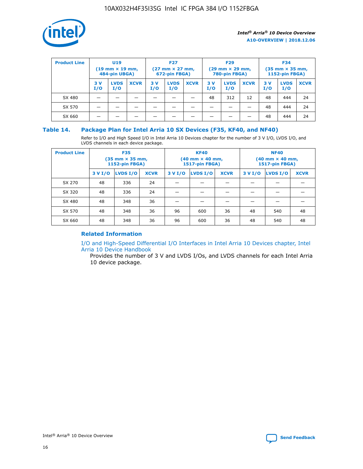

| <b>Product Line</b> | U <sub>19</sub><br>$(19 \text{ mm} \times 19 \text{ mm})$<br>484-pin UBGA) |                    | <b>F27</b><br>$(27 \text{ mm} \times 27 \text{ mm})$<br>672-pin FBGA) |           |                    | <b>F29</b><br>$(29 \text{ mm} \times 29 \text{ mm})$<br>780-pin FBGA) |           |                    | <b>F34</b><br>$(35$ mm $\times$ 35 mm,<br><b>1152-pin FBGA)</b> |           |                    |             |
|---------------------|----------------------------------------------------------------------------|--------------------|-----------------------------------------------------------------------|-----------|--------------------|-----------------------------------------------------------------------|-----------|--------------------|-----------------------------------------------------------------|-----------|--------------------|-------------|
|                     | 3V<br>I/O                                                                  | <b>LVDS</b><br>I/O | <b>XCVR</b>                                                           | 3V<br>I/O | <b>LVDS</b><br>I/O | <b>XCVR</b>                                                           | 3V<br>I/O | <b>LVDS</b><br>I/O | <b>XCVR</b>                                                     | 3V<br>I/O | <b>LVDS</b><br>I/O | <b>XCVR</b> |
| SX 480              |                                                                            |                    |                                                                       |           |                    |                                                                       | 48        | 312                | 12                                                              | 48        | 444                | 24          |
| SX 570              |                                                                            |                    |                                                                       |           |                    |                                                                       |           |                    |                                                                 | 48        | 444                | 24          |
| SX 660              |                                                                            |                    |                                                                       |           |                    |                                                                       |           |                    |                                                                 | 48        | 444                | 24          |

## **Table 14. Package Plan for Intel Arria 10 SX Devices (F35, KF40, and NF40)**

Refer to I/O and High Speed I/O in Intel Arria 10 Devices chapter for the number of 3 V I/O, LVDS I/O, and LVDS channels in each device package.

| <b>Product Line</b> | <b>F35</b><br>$(35 \text{ mm} \times 35 \text{ mm})$<br><b>1152-pin FBGA)</b> |          |             |                                           | <b>KF40</b><br>(40 mm × 40 mm,<br>1517-pin FBGA) |    | <b>NF40</b><br>$(40 \text{ mm} \times 40 \text{ mm})$<br>1517-pin FBGA) |          |             |  |
|---------------------|-------------------------------------------------------------------------------|----------|-------------|-------------------------------------------|--------------------------------------------------|----|-------------------------------------------------------------------------|----------|-------------|--|
|                     | 3 V I/O                                                                       | LVDS I/O | <b>XCVR</b> | <b>LVDS I/O</b><br><b>XCVR</b><br>3 V I/O |                                                  |    | 3 V I/O                                                                 | LVDS I/O | <b>XCVR</b> |  |
| SX 270              | 48                                                                            | 336      | 24          |                                           |                                                  |    |                                                                         |          |             |  |
| SX 320              | 48                                                                            | 336      | 24          |                                           |                                                  |    |                                                                         |          |             |  |
| SX 480              | 48                                                                            | 348      | 36          |                                           |                                                  |    |                                                                         |          |             |  |
| SX 570              | 48                                                                            | 348      | 36          | 96                                        | 600                                              | 36 | 48                                                                      | 540      | 48          |  |
| SX 660              | 48                                                                            | 348      | 36          | 96                                        | 600                                              | 36 | 48                                                                      | 540      | 48          |  |

# **Related Information**

[I/O and High-Speed Differential I/O Interfaces in Intel Arria 10 Devices chapter, Intel](https://www.intel.com/content/www/us/en/programmable/documentation/sam1403482614086.html#sam1403482030321) [Arria 10 Device Handbook](https://www.intel.com/content/www/us/en/programmable/documentation/sam1403482614086.html#sam1403482030321)

Provides the number of 3 V and LVDS I/Os, and LVDS channels for each Intel Arria 10 device package.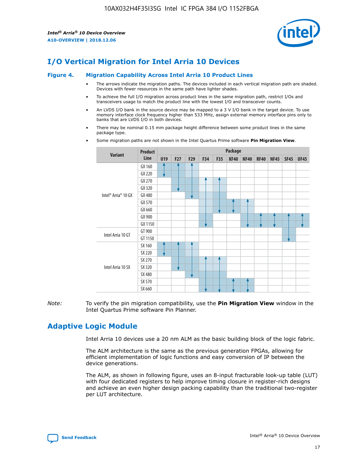

# **I/O Vertical Migration for Intel Arria 10 Devices**

#### **Figure 4. Migration Capability Across Intel Arria 10 Product Lines**

- The arrows indicate the migration paths. The devices included in each vertical migration path are shaded. Devices with fewer resources in the same path have lighter shades.
- To achieve the full I/O migration across product lines in the same migration path, restrict I/Os and transceivers usage to match the product line with the lowest I/O and transceiver counts.
- An LVDS I/O bank in the source device may be mapped to a 3 V I/O bank in the target device. To use memory interface clock frequency higher than 533 MHz, assign external memory interface pins only to banks that are LVDS I/O in both devices.
- There may be nominal 0.15 mm package height difference between some product lines in the same package type.
	- **Variant Product Line Package U19 F27 F29 F34 F35 KF40 NF40 RF40 NF45 SF45 UF45** Intel® Arria® 10 GX GX 160 GX 220 GX 270 GX 320 GX 480 GX 570 GX 660 GX 900 GX 1150 Intel Arria 10 GT GT 900 GT 1150 Intel Arria 10 SX SX 160 SX 220 SX 270 SX 320 SX 480 SX 570 SX 660
- Some migration paths are not shown in the Intel Quartus Prime software **Pin Migration View**.

*Note:* To verify the pin migration compatibility, use the **Pin Migration View** window in the Intel Quartus Prime software Pin Planner.

# **Adaptive Logic Module**

Intel Arria 10 devices use a 20 nm ALM as the basic building block of the logic fabric.

The ALM architecture is the same as the previous generation FPGAs, allowing for efficient implementation of logic functions and easy conversion of IP between the device generations.

The ALM, as shown in following figure, uses an 8-input fracturable look-up table (LUT) with four dedicated registers to help improve timing closure in register-rich designs and achieve an even higher design packing capability than the traditional two-register per LUT architecture.

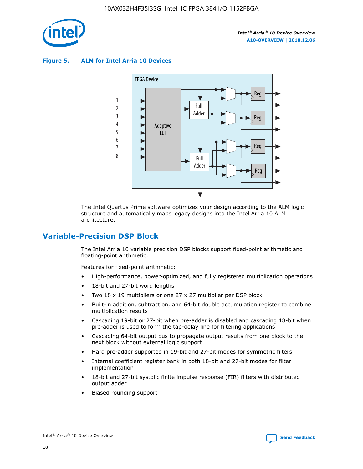

**Figure 5. ALM for Intel Arria 10 Devices**



The Intel Quartus Prime software optimizes your design according to the ALM logic structure and automatically maps legacy designs into the Intel Arria 10 ALM architecture.

# **Variable-Precision DSP Block**

The Intel Arria 10 variable precision DSP blocks support fixed-point arithmetic and floating-point arithmetic.

Features for fixed-point arithmetic:

- High-performance, power-optimized, and fully registered multiplication operations
- 18-bit and 27-bit word lengths
- Two 18 x 19 multipliers or one 27 x 27 multiplier per DSP block
- Built-in addition, subtraction, and 64-bit double accumulation register to combine multiplication results
- Cascading 19-bit or 27-bit when pre-adder is disabled and cascading 18-bit when pre-adder is used to form the tap-delay line for filtering applications
- Cascading 64-bit output bus to propagate output results from one block to the next block without external logic support
- Hard pre-adder supported in 19-bit and 27-bit modes for symmetric filters
- Internal coefficient register bank in both 18-bit and 27-bit modes for filter implementation
- 18-bit and 27-bit systolic finite impulse response (FIR) filters with distributed output adder
- Biased rounding support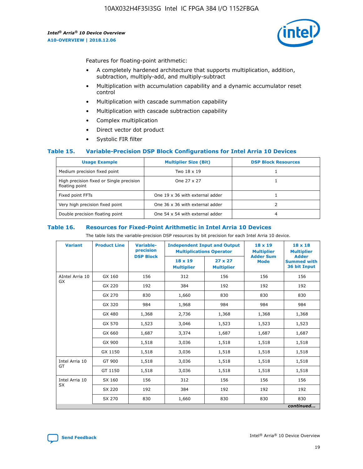

Features for floating-point arithmetic:

- A completely hardened architecture that supports multiplication, addition, subtraction, multiply-add, and multiply-subtract
- Multiplication with accumulation capability and a dynamic accumulator reset control
- Multiplication with cascade summation capability
- Multiplication with cascade subtraction capability
- Complex multiplication
- Direct vector dot product
- Systolic FIR filter

## **Table 15. Variable-Precision DSP Block Configurations for Intel Arria 10 Devices**

| <b>Usage Example</b>                                       | <b>Multiplier Size (Bit)</b>    | <b>DSP Block Resources</b> |
|------------------------------------------------------------|---------------------------------|----------------------------|
| Medium precision fixed point                               | Two 18 x 19                     |                            |
| High precision fixed or Single precision<br>floating point | One 27 x 27                     |                            |
| Fixed point FFTs                                           | One 19 x 36 with external adder |                            |
| Very high precision fixed point                            | One 36 x 36 with external adder |                            |
| Double precision floating point                            | One 54 x 54 with external adder | 4                          |

#### **Table 16. Resources for Fixed-Point Arithmetic in Intel Arria 10 Devices**

The table lists the variable-precision DSP resources by bit precision for each Intel Arria 10 device.

| <b>Variant</b>  | <b>Product Line</b> | <b>Variable-</b><br>precision<br><b>DSP Block</b> | <b>Independent Input and Output</b><br><b>Multiplications Operator</b> |                                     | 18 x 19<br><b>Multiplier</b><br><b>Adder Sum</b> | $18 \times 18$<br><b>Multiplier</b><br><b>Adder</b> |
|-----------------|---------------------|---------------------------------------------------|------------------------------------------------------------------------|-------------------------------------|--------------------------------------------------|-----------------------------------------------------|
|                 |                     |                                                   | 18 x 19<br><b>Multiplier</b>                                           | $27 \times 27$<br><b>Multiplier</b> | <b>Mode</b>                                      | <b>Summed with</b><br>36 bit Input                  |
| AIntel Arria 10 | GX 160              | 156                                               | 312                                                                    | 156                                 | 156                                              | 156                                                 |
| GX              | GX 220              | 192                                               | 384                                                                    | 192                                 | 192                                              | 192                                                 |
|                 | GX 270              | 830                                               | 1,660                                                                  | 830                                 | 830                                              | 830                                                 |
|                 | GX 320              | 984                                               | 1,968                                                                  | 984                                 | 984                                              | 984                                                 |
|                 | GX 480              | 1,368                                             | 2,736                                                                  | 1,368                               | 1,368                                            | 1,368                                               |
|                 | GX 570              | 1,523                                             | 3,046                                                                  | 1,523                               | 1,523                                            | 1,523                                               |
|                 | GX 660              | 1,687                                             | 3,374                                                                  | 1,687                               | 1,687                                            | 1,687                                               |
|                 | GX 900              | 1,518                                             | 3,036                                                                  | 1,518                               | 1,518                                            | 1,518                                               |
|                 | GX 1150             | 1,518                                             | 3,036                                                                  | 1,518                               | 1,518                                            | 1,518                                               |
| Intel Arria 10  | GT 900              | 1,518                                             | 3,036                                                                  | 1,518                               | 1,518                                            | 1,518                                               |
| GT              | GT 1150             | 1,518                                             | 3,036                                                                  | 1,518                               | 1,518                                            | 1,518                                               |
| Intel Arria 10  | SX 160              | 156                                               | 312                                                                    | 156                                 | 156                                              | 156                                                 |
| <b>SX</b>       | SX 220              | 192                                               | 384                                                                    | 192                                 | 192                                              | 192                                                 |
|                 | SX 270              | 830                                               | 1,660                                                                  | 830                                 | 830                                              | 830                                                 |
|                 |                     |                                                   |                                                                        |                                     |                                                  | continued                                           |

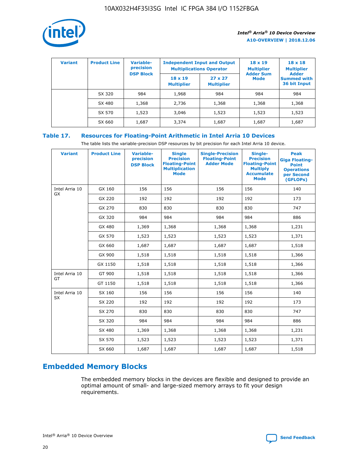

| <b>Variant</b> | <b>Product Line</b> | Variable-<br>precision | <b>Independent Input and Output</b><br><b>Multiplications Operator</b> |                                     | $18 \times 19$<br><b>Multiplier</b> | $18 \times 18$<br><b>Multiplier</b><br><b>Adder</b> |  |
|----------------|---------------------|------------------------|------------------------------------------------------------------------|-------------------------------------|-------------------------------------|-----------------------------------------------------|--|
|                |                     | <b>DSP Block</b>       | $18 \times 19$<br><b>Multiplier</b>                                    | $27 \times 27$<br><b>Multiplier</b> | <b>Adder Sum</b><br><b>Mode</b>     | <b>Summed with</b><br>36 bit Input                  |  |
|                | SX 320              | 984                    | 1,968                                                                  | 984                                 | 984                                 | 984                                                 |  |
|                | SX 480              | 1,368                  | 2,736                                                                  | 1,368                               | 1,368                               | 1,368                                               |  |
|                | SX 570              | 1,523                  | 3,046                                                                  | 1,523                               | 1,523                               | 1,523                                               |  |
|                | SX 660              | 1,687                  | 3,374                                                                  | 1,687                               | 1,687                               | 1,687                                               |  |

# **Table 17. Resources for Floating-Point Arithmetic in Intel Arria 10 Devices**

The table lists the variable-precision DSP resources by bit precision for each Intel Arria 10 device.

| <b>Variant</b> | <b>Product Line</b> | <b>Variable-</b><br>precision<br><b>DSP Block</b> | <b>Single</b><br><b>Precision</b><br><b>Floating-Point</b><br><b>Multiplication</b><br><b>Mode</b> | <b>Single-Precision</b><br><b>Floating-Point</b><br><b>Adder Mode</b> | Single-<br><b>Precision</b><br><b>Floating-Point</b><br><b>Multiply</b><br><b>Accumulate</b><br><b>Mode</b> | <b>Peak</b><br><b>Giga Floating-</b><br><b>Point</b><br><b>Operations</b><br>per Second<br>(GFLOPs) |
|----------------|---------------------|---------------------------------------------------|----------------------------------------------------------------------------------------------------|-----------------------------------------------------------------------|-------------------------------------------------------------------------------------------------------------|-----------------------------------------------------------------------------------------------------|
| Intel Arria 10 | GX 160              | 156                                               | 156                                                                                                | 156                                                                   | 156                                                                                                         | 140                                                                                                 |
| GX             | GX 220              | 192                                               | 192                                                                                                | 192                                                                   | 192                                                                                                         | 173                                                                                                 |
|                | GX 270              | 830                                               | 830                                                                                                | 830                                                                   | 830                                                                                                         | 747                                                                                                 |
|                | GX 320              | 984                                               | 984                                                                                                | 984                                                                   | 984                                                                                                         | 886                                                                                                 |
|                | GX 480              | 1,369                                             | 1,368                                                                                              | 1,368                                                                 | 1,368                                                                                                       | 1,231                                                                                               |
|                | GX 570              | 1,523                                             | 1,523                                                                                              | 1,523                                                                 | 1,523                                                                                                       | 1,371                                                                                               |
|                | GX 660              | 1,687                                             | 1,687                                                                                              | 1,687                                                                 | 1,687                                                                                                       | 1,518                                                                                               |
|                | GX 900              | 1,518                                             | 1,518                                                                                              | 1,518                                                                 | 1,518                                                                                                       | 1,366                                                                                               |
|                | GX 1150             | 1,518                                             | 1,518                                                                                              | 1,518                                                                 | 1,518                                                                                                       | 1,366                                                                                               |
| Intel Arria 10 | GT 900              | 1,518                                             | 1,518                                                                                              | 1,518                                                                 | 1,518                                                                                                       | 1,366                                                                                               |
| GT             | GT 1150             | 1,518                                             | 1,518                                                                                              | 1,518                                                                 | 1,518                                                                                                       | 1,366                                                                                               |
| Intel Arria 10 | SX 160              | 156                                               | 156                                                                                                | 156                                                                   | 156                                                                                                         | 140                                                                                                 |
| <b>SX</b>      | SX 220              | 192                                               | 192                                                                                                | 192                                                                   | 192                                                                                                         | 173                                                                                                 |
|                | SX 270              | 830                                               | 830                                                                                                | 830                                                                   | 830                                                                                                         | 747                                                                                                 |
|                | SX 320              | 984                                               | 984                                                                                                | 984                                                                   | 984                                                                                                         | 886                                                                                                 |
|                | SX 480              | 1,369                                             | 1,368                                                                                              | 1,368                                                                 | 1,368                                                                                                       | 1,231                                                                                               |
|                | SX 570              | 1,523                                             | 1,523                                                                                              | 1,523                                                                 | 1,523                                                                                                       | 1,371                                                                                               |
|                | SX 660              | 1,687                                             | 1,687                                                                                              | 1,687                                                                 | 1,687                                                                                                       | 1,518                                                                                               |

# **Embedded Memory Blocks**

The embedded memory blocks in the devices are flexible and designed to provide an optimal amount of small- and large-sized memory arrays to fit your design requirements.

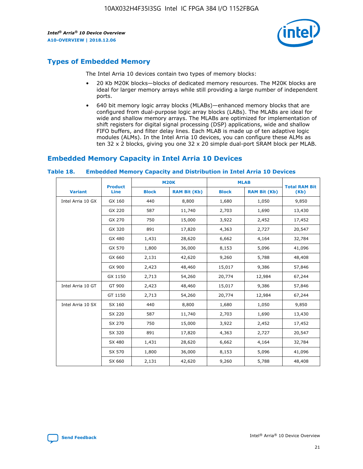

# **Types of Embedded Memory**

The Intel Arria 10 devices contain two types of memory blocks:

- 20 Kb M20K blocks—blocks of dedicated memory resources. The M20K blocks are ideal for larger memory arrays while still providing a large number of independent ports.
- 640 bit memory logic array blocks (MLABs)—enhanced memory blocks that are configured from dual-purpose logic array blocks (LABs). The MLABs are ideal for wide and shallow memory arrays. The MLABs are optimized for implementation of shift registers for digital signal processing (DSP) applications, wide and shallow FIFO buffers, and filter delay lines. Each MLAB is made up of ten adaptive logic modules (ALMs). In the Intel Arria 10 devices, you can configure these ALMs as ten 32 x 2 blocks, giving you one 32 x 20 simple dual-port SRAM block per MLAB.

# **Embedded Memory Capacity in Intel Arria 10 Devices**

|                   | <b>Product</b> | <b>M20K</b>  |                     | <b>MLAB</b>  |                     | <b>Total RAM Bit</b> |
|-------------------|----------------|--------------|---------------------|--------------|---------------------|----------------------|
| <b>Variant</b>    | <b>Line</b>    | <b>Block</b> | <b>RAM Bit (Kb)</b> | <b>Block</b> | <b>RAM Bit (Kb)</b> | (Kb)                 |
| Intel Arria 10 GX | GX 160         | 440          | 8,800               | 1,680        | 1,050               | 9,850                |
|                   | GX 220         | 587          | 11,740              | 2,703        | 1,690               | 13,430               |
|                   | GX 270         | 750          | 15,000              | 3,922        | 2,452               | 17,452               |
|                   | GX 320         | 891          | 17,820              | 4,363        | 2,727               | 20,547               |
|                   | GX 480         | 1,431        | 28,620              | 6,662        | 4,164               | 32,784               |
|                   | GX 570         | 1,800        | 36,000              | 8,153        | 5,096               | 41,096               |
|                   | GX 660         | 2,131        | 42,620              | 9,260        | 5,788               | 48,408               |
|                   | GX 900         | 2,423        | 48,460              | 15,017       | 9,386               | 57,846               |
|                   | GX 1150        | 2,713        | 54,260              | 20,774       | 12,984              | 67,244               |
| Intel Arria 10 GT | GT 900         | 2,423        | 48,460              | 15,017       | 9,386               | 57,846               |
|                   | GT 1150        | 2,713        | 54,260              | 20,774       | 12,984              | 67,244               |
| Intel Arria 10 SX | SX 160         | 440          | 8,800               | 1,680        | 1,050               | 9,850                |
|                   | SX 220         | 587          | 11,740              | 2,703        | 1,690               | 13,430               |
|                   | SX 270         | 750          | 15,000              | 3,922        | 2,452               | 17,452               |
|                   | SX 320         | 891          | 17,820              | 4,363        | 2,727               | 20,547               |
|                   | SX 480         | 1,431        | 28,620              | 6,662        | 4,164               | 32,784               |
|                   | SX 570         | 1,800        | 36,000              | 8,153        | 5,096               | 41,096               |
|                   | SX 660         | 2,131        | 42,620              | 9,260        | 5,788               | 48,408               |

#### **Table 18. Embedded Memory Capacity and Distribution in Intel Arria 10 Devices**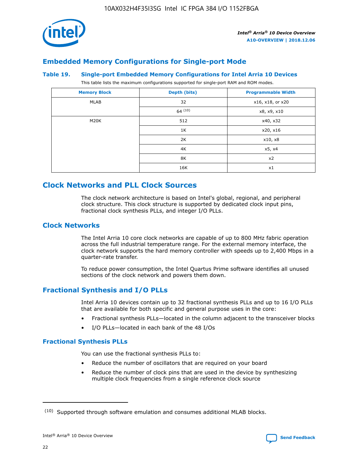

# **Embedded Memory Configurations for Single-port Mode**

#### **Table 19. Single-port Embedded Memory Configurations for Intel Arria 10 Devices**

This table lists the maximum configurations supported for single-port RAM and ROM modes.

| <b>Memory Block</b> | Depth (bits) | <b>Programmable Width</b> |
|---------------------|--------------|---------------------------|
| MLAB                | 32           | x16, x18, or x20          |
|                     | 64(10)       | x8, x9, x10               |
| M20K                | 512          | x40, x32                  |
|                     | 1K           | x20, x16                  |
|                     | 2K           | x10, x8                   |
|                     | 4K           | x5, x4                    |
|                     | 8K           | x2                        |
|                     | 16K          | x1                        |

# **Clock Networks and PLL Clock Sources**

The clock network architecture is based on Intel's global, regional, and peripheral clock structure. This clock structure is supported by dedicated clock input pins, fractional clock synthesis PLLs, and integer I/O PLLs.

## **Clock Networks**

The Intel Arria 10 core clock networks are capable of up to 800 MHz fabric operation across the full industrial temperature range. For the external memory interface, the clock network supports the hard memory controller with speeds up to 2,400 Mbps in a quarter-rate transfer.

To reduce power consumption, the Intel Quartus Prime software identifies all unused sections of the clock network and powers them down.

# **Fractional Synthesis and I/O PLLs**

Intel Arria 10 devices contain up to 32 fractional synthesis PLLs and up to 16 I/O PLLs that are available for both specific and general purpose uses in the core:

- Fractional synthesis PLLs—located in the column adjacent to the transceiver blocks
- I/O PLLs—located in each bank of the 48 I/Os

## **Fractional Synthesis PLLs**

You can use the fractional synthesis PLLs to:

- Reduce the number of oscillators that are required on your board
- Reduce the number of clock pins that are used in the device by synthesizing multiple clock frequencies from a single reference clock source

<sup>(10)</sup> Supported through software emulation and consumes additional MLAB blocks.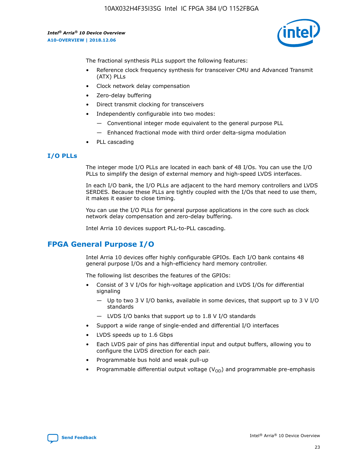

The fractional synthesis PLLs support the following features:

- Reference clock frequency synthesis for transceiver CMU and Advanced Transmit (ATX) PLLs
- Clock network delay compensation
- Zero-delay buffering
- Direct transmit clocking for transceivers
- Independently configurable into two modes:
	- Conventional integer mode equivalent to the general purpose PLL
	- Enhanced fractional mode with third order delta-sigma modulation
- PLL cascading

## **I/O PLLs**

The integer mode I/O PLLs are located in each bank of 48 I/Os. You can use the I/O PLLs to simplify the design of external memory and high-speed LVDS interfaces.

In each I/O bank, the I/O PLLs are adjacent to the hard memory controllers and LVDS SERDES. Because these PLLs are tightly coupled with the I/Os that need to use them, it makes it easier to close timing.

You can use the I/O PLLs for general purpose applications in the core such as clock network delay compensation and zero-delay buffering.

Intel Arria 10 devices support PLL-to-PLL cascading.

# **FPGA General Purpose I/O**

Intel Arria 10 devices offer highly configurable GPIOs. Each I/O bank contains 48 general purpose I/Os and a high-efficiency hard memory controller.

The following list describes the features of the GPIOs:

- Consist of 3 V I/Os for high-voltage application and LVDS I/Os for differential signaling
	- Up to two 3 V I/O banks, available in some devices, that support up to 3 V I/O standards
	- LVDS I/O banks that support up to 1.8 V I/O standards
- Support a wide range of single-ended and differential I/O interfaces
- LVDS speeds up to 1.6 Gbps
- Each LVDS pair of pins has differential input and output buffers, allowing you to configure the LVDS direction for each pair.
- Programmable bus hold and weak pull-up
- Programmable differential output voltage  $(V_{OD})$  and programmable pre-emphasis

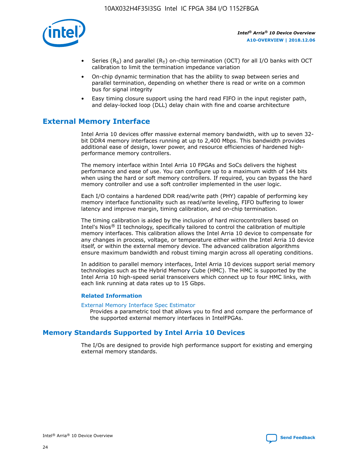

- Series (R<sub>S</sub>) and parallel (R<sub>T</sub>) on-chip termination (OCT) for all I/O banks with OCT calibration to limit the termination impedance variation
- On-chip dynamic termination that has the ability to swap between series and parallel termination, depending on whether there is read or write on a common bus for signal integrity
- Easy timing closure support using the hard read FIFO in the input register path, and delay-locked loop (DLL) delay chain with fine and coarse architecture

# **External Memory Interface**

Intel Arria 10 devices offer massive external memory bandwidth, with up to seven 32 bit DDR4 memory interfaces running at up to 2,400 Mbps. This bandwidth provides additional ease of design, lower power, and resource efficiencies of hardened highperformance memory controllers.

The memory interface within Intel Arria 10 FPGAs and SoCs delivers the highest performance and ease of use. You can configure up to a maximum width of 144 bits when using the hard or soft memory controllers. If required, you can bypass the hard memory controller and use a soft controller implemented in the user logic.

Each I/O contains a hardened DDR read/write path (PHY) capable of performing key memory interface functionality such as read/write leveling, FIFO buffering to lower latency and improve margin, timing calibration, and on-chip termination.

The timing calibration is aided by the inclusion of hard microcontrollers based on Intel's Nios® II technology, specifically tailored to control the calibration of multiple memory interfaces. This calibration allows the Intel Arria 10 device to compensate for any changes in process, voltage, or temperature either within the Intel Arria 10 device itself, or within the external memory device. The advanced calibration algorithms ensure maximum bandwidth and robust timing margin across all operating conditions.

In addition to parallel memory interfaces, Intel Arria 10 devices support serial memory technologies such as the Hybrid Memory Cube (HMC). The HMC is supported by the Intel Arria 10 high-speed serial transceivers which connect up to four HMC links, with each link running at data rates up to 15 Gbps.

## **Related Information**

#### [External Memory Interface Spec Estimator](http://www.altera.com/technology/memory/estimator/mem-emif-index.html)

Provides a parametric tool that allows you to find and compare the performance of the supported external memory interfaces in IntelFPGAs.

# **Memory Standards Supported by Intel Arria 10 Devices**

The I/Os are designed to provide high performance support for existing and emerging external memory standards.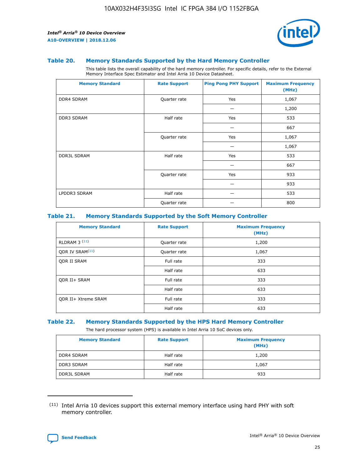

#### **Table 20. Memory Standards Supported by the Hard Memory Controller**

This table lists the overall capability of the hard memory controller. For specific details, refer to the External Memory Interface Spec Estimator and Intel Arria 10 Device Datasheet.

| <b>Memory Standard</b> | <b>Rate Support</b> | <b>Ping Pong PHY Support</b> | <b>Maximum Frequency</b><br>(MHz) |
|------------------------|---------------------|------------------------------|-----------------------------------|
| <b>DDR4 SDRAM</b>      | Quarter rate        | Yes                          | 1,067                             |
|                        |                     |                              | 1,200                             |
| DDR3 SDRAM             | Half rate           | Yes                          | 533                               |
|                        |                     |                              | 667                               |
|                        | Quarter rate        | Yes                          | 1,067                             |
|                        |                     |                              | 1,067                             |
| <b>DDR3L SDRAM</b>     | Half rate           | Yes                          | 533                               |
|                        |                     |                              | 667                               |
|                        | Quarter rate        | Yes                          | 933                               |
|                        |                     |                              | 933                               |
| LPDDR3 SDRAM           | Half rate           |                              | 533                               |
|                        | Quarter rate        |                              | 800                               |

## **Table 21. Memory Standards Supported by the Soft Memory Controller**

| <b>Memory Standard</b>      | <b>Rate Support</b> | <b>Maximum Frequency</b><br>(MHz) |
|-----------------------------|---------------------|-----------------------------------|
| <b>RLDRAM 3 (11)</b>        | Quarter rate        | 1,200                             |
| ODR IV SRAM <sup>(11)</sup> | Quarter rate        | 1,067                             |
| <b>ODR II SRAM</b>          | Full rate           | 333                               |
|                             | Half rate           | 633                               |
| <b>ODR II+ SRAM</b>         | Full rate           | 333                               |
|                             | Half rate           | 633                               |
| <b>ODR II+ Xtreme SRAM</b>  | Full rate           | 333                               |
|                             | Half rate           | 633                               |

#### **Table 22. Memory Standards Supported by the HPS Hard Memory Controller**

The hard processor system (HPS) is available in Intel Arria 10 SoC devices only.

| <b>Memory Standard</b> | <b>Rate Support</b> | <b>Maximum Frequency</b><br>(MHz) |
|------------------------|---------------------|-----------------------------------|
| <b>DDR4 SDRAM</b>      | Half rate           | 1,200                             |
| <b>DDR3 SDRAM</b>      | Half rate           | 1,067                             |
| <b>DDR3L SDRAM</b>     | Half rate           | 933                               |

<sup>(11)</sup> Intel Arria 10 devices support this external memory interface using hard PHY with soft memory controller.

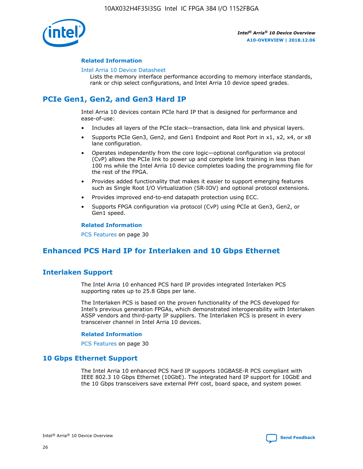

## **Related Information**

#### [Intel Arria 10 Device Datasheet](https://www.intel.com/content/www/us/en/programmable/documentation/mcn1413182292568.html#mcn1413182153340)

Lists the memory interface performance according to memory interface standards, rank or chip select configurations, and Intel Arria 10 device speed grades.

# **PCIe Gen1, Gen2, and Gen3 Hard IP**

Intel Arria 10 devices contain PCIe hard IP that is designed for performance and ease-of-use:

- Includes all layers of the PCIe stack—transaction, data link and physical layers.
- Supports PCIe Gen3, Gen2, and Gen1 Endpoint and Root Port in x1, x2, x4, or x8 lane configuration.
- Operates independently from the core logic—optional configuration via protocol (CvP) allows the PCIe link to power up and complete link training in less than 100 ms while the Intel Arria 10 device completes loading the programming file for the rest of the FPGA.
- Provides added functionality that makes it easier to support emerging features such as Single Root I/O Virtualization (SR-IOV) and optional protocol extensions.
- Provides improved end-to-end datapath protection using ECC.
- Supports FPGA configuration via protocol (CvP) using PCIe at Gen3, Gen2, or Gen1 speed.

#### **Related Information**

PCS Features on page 30

# **Enhanced PCS Hard IP for Interlaken and 10 Gbps Ethernet**

# **Interlaken Support**

The Intel Arria 10 enhanced PCS hard IP provides integrated Interlaken PCS supporting rates up to 25.8 Gbps per lane.

The Interlaken PCS is based on the proven functionality of the PCS developed for Intel's previous generation FPGAs, which demonstrated interoperability with Interlaken ASSP vendors and third-party IP suppliers. The Interlaken PCS is present in every transceiver channel in Intel Arria 10 devices.

## **Related Information**

PCS Features on page 30

# **10 Gbps Ethernet Support**

The Intel Arria 10 enhanced PCS hard IP supports 10GBASE-R PCS compliant with IEEE 802.3 10 Gbps Ethernet (10GbE). The integrated hard IP support for 10GbE and the 10 Gbps transceivers save external PHY cost, board space, and system power.

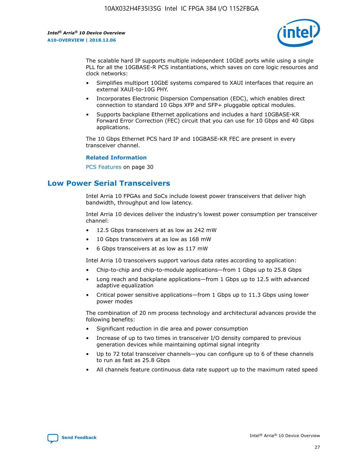

The scalable hard IP supports multiple independent 10GbE ports while using a single PLL for all the 10GBASE-R PCS instantiations, which saves on core logic resources and clock networks:

- Simplifies multiport 10GbE systems compared to XAUI interfaces that require an external XAUI-to-10G PHY.
- Incorporates Electronic Dispersion Compensation (EDC), which enables direct connection to standard 10 Gbps XFP and SFP+ pluggable optical modules.
- Supports backplane Ethernet applications and includes a hard 10GBASE-KR Forward Error Correction (FEC) circuit that you can use for 10 Gbps and 40 Gbps applications.

The 10 Gbps Ethernet PCS hard IP and 10GBASE-KR FEC are present in every transceiver channel.

#### **Related Information**

PCS Features on page 30

# **Low Power Serial Transceivers**

Intel Arria 10 FPGAs and SoCs include lowest power transceivers that deliver high bandwidth, throughput and low latency.

Intel Arria 10 devices deliver the industry's lowest power consumption per transceiver channel:

- 12.5 Gbps transceivers at as low as 242 mW
- 10 Gbps transceivers at as low as 168 mW
- 6 Gbps transceivers at as low as 117 mW

Intel Arria 10 transceivers support various data rates according to application:

- Chip-to-chip and chip-to-module applications—from 1 Gbps up to 25.8 Gbps
- Long reach and backplane applications—from 1 Gbps up to 12.5 with advanced adaptive equalization
- Critical power sensitive applications—from 1 Gbps up to 11.3 Gbps using lower power modes

The combination of 20 nm process technology and architectural advances provide the following benefits:

- Significant reduction in die area and power consumption
- Increase of up to two times in transceiver I/O density compared to previous generation devices while maintaining optimal signal integrity
- Up to 72 total transceiver channels—you can configure up to 6 of these channels to run as fast as 25.8 Gbps
- All channels feature continuous data rate support up to the maximum rated speed

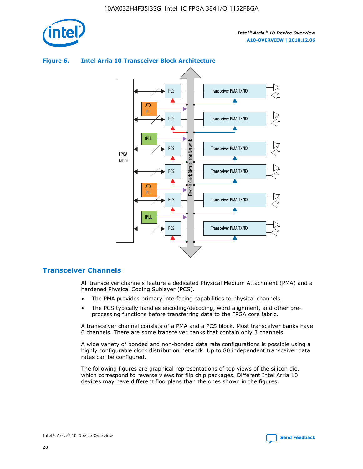

## **Figure 6. Intel Arria 10 Transceiver Block Architecture**



# **Transceiver Channels**

All transceiver channels feature a dedicated Physical Medium Attachment (PMA) and a hardened Physical Coding Sublayer (PCS).

- The PMA provides primary interfacing capabilities to physical channels.
- The PCS typically handles encoding/decoding, word alignment, and other preprocessing functions before transferring data to the FPGA core fabric.

A transceiver channel consists of a PMA and a PCS block. Most transceiver banks have 6 channels. There are some transceiver banks that contain only 3 channels.

A wide variety of bonded and non-bonded data rate configurations is possible using a highly configurable clock distribution network. Up to 80 independent transceiver data rates can be configured.

The following figures are graphical representations of top views of the silicon die, which correspond to reverse views for flip chip packages. Different Intel Arria 10 devices may have different floorplans than the ones shown in the figures.

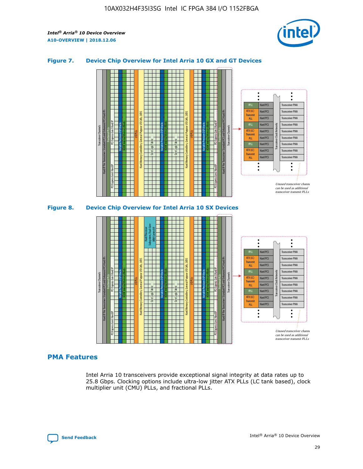

## **Figure 7. Device Chip Overview for Intel Arria 10 GX and GT Devices**



## **PMA Features**

Intel Arria 10 transceivers provide exceptional signal integrity at data rates up to 25.8 Gbps. Clocking options include ultra-low jitter ATX PLLs (LC tank based), clock multiplier unit (CMU) PLLs, and fractional PLLs.

Hard PCS Hard PCS Hard PCS Hard PCS Hard PCS

ATX (LC) Transmi PLL fPLL ATX (LC) **Transmit** PLL

Transceiver PMA Transceiver PMA Transceiver PMA

Transceiver Clock Networks

Transceiver PMA Transceiver PMA

Unused transceiver chann can be used as additional transceiver transmit PLLs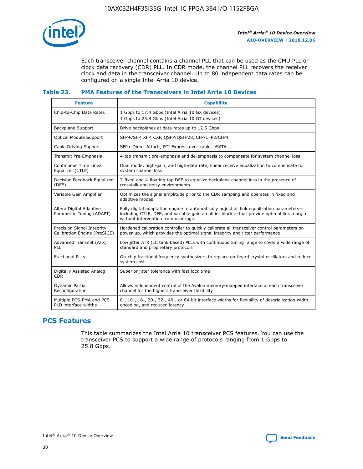

Each transceiver channel contains a channel PLL that can be used as the CMU PLL or clock data recovery (CDR) PLL. In CDR mode, the channel PLL recovers the receiver clock and data in the transceiver channel. Up to 80 independent data rates can be configured on a single Intel Arria 10 device.

## **Table 23. PMA Features of the Transceivers in Intel Arria 10 Devices**

| <b>Feature</b>                                             | <b>Capability</b>                                                                                                                                                                                                             |
|------------------------------------------------------------|-------------------------------------------------------------------------------------------------------------------------------------------------------------------------------------------------------------------------------|
| Chip-to-Chip Data Rates                                    | 1 Gbps to 17.4 Gbps (Intel Arria 10 GX devices)<br>1 Gbps to 25.8 Gbps (Intel Arria 10 GT devices)                                                                                                                            |
| <b>Backplane Support</b>                                   | Drive backplanes at data rates up to 12.5 Gbps                                                                                                                                                                                |
| <b>Optical Module Support</b>                              | SFP+/SFP, XFP, CXP, QSFP/QSFP28, CFP/CFP2/CFP4                                                                                                                                                                                |
| Cable Driving Support                                      | SFP+ Direct Attach, PCI Express over cable, eSATA                                                                                                                                                                             |
| Transmit Pre-Emphasis                                      | 4-tap transmit pre-emphasis and de-emphasis to compensate for system channel loss                                                                                                                                             |
| Continuous Time Linear<br>Equalizer (CTLE)                 | Dual mode, high-gain, and high-data rate, linear receive equalization to compensate for<br>system channel loss                                                                                                                |
| Decision Feedback Equalizer<br>(DFE)                       | 7-fixed and 4-floating tap DFE to equalize backplane channel loss in the presence of<br>crosstalk and noisy environments                                                                                                      |
| Variable Gain Amplifier                                    | Optimizes the signal amplitude prior to the CDR sampling and operates in fixed and<br>adaptive modes                                                                                                                          |
| Altera Digital Adaptive<br>Parametric Tuning (ADAPT)       | Fully digital adaptation engine to automatically adjust all link equalization parameters-<br>including CTLE, DFE, and variable gain amplifier blocks—that provide optimal link margin<br>without intervention from user logic |
| Precision Signal Integrity<br>Calibration Engine (PreSICE) | Hardened calibration controller to quickly calibrate all transceiver control parameters on<br>power-up, which provides the optimal signal integrity and jitter performance                                                    |
| Advanced Transmit (ATX)<br><b>PLL</b>                      | Low jitter ATX (LC tank based) PLLs with continuous tuning range to cover a wide range of<br>standard and proprietary protocols                                                                                               |
| <b>Fractional PLLs</b>                                     | On-chip fractional frequency synthesizers to replace on-board crystal oscillators and reduce<br>system cost                                                                                                                   |
| Digitally Assisted Analog<br><b>CDR</b>                    | Superior jitter tolerance with fast lock time                                                                                                                                                                                 |
| <b>Dynamic Partial</b><br>Reconfiguration                  | Allows independent control of the Avalon memory-mapped interface of each transceiver<br>channel for the highest transceiver flexibility                                                                                       |
| Multiple PCS-PMA and PCS-<br>PLD interface widths          | 8-, 10-, 16-, 20-, 32-, 40-, or 64-bit interface widths for flexibility of deserialization width,<br>encoding, and reduced latency                                                                                            |

# **PCS Features**

This table summarizes the Intel Arria 10 transceiver PCS features. You can use the transceiver PCS to support a wide range of protocols ranging from 1 Gbps to 25.8 Gbps.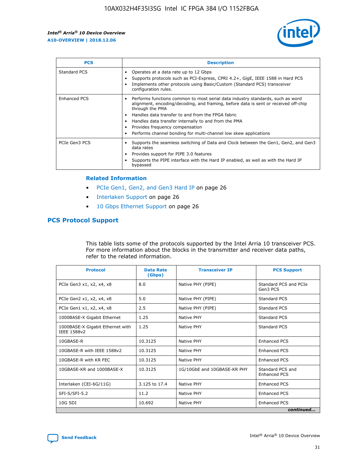

| <b>PCS</b>    | <b>Description</b>                                                                                                                                                                                                                                                                                                                                                                                                          |
|---------------|-----------------------------------------------------------------------------------------------------------------------------------------------------------------------------------------------------------------------------------------------------------------------------------------------------------------------------------------------------------------------------------------------------------------------------|
| Standard PCS  | Operates at a data rate up to 12 Gbps<br>Supports protocols such as PCI-Express, CPRI 4.2+, GigE, IEEE 1588 in Hard PCS<br>Implements other protocols using Basic/Custom (Standard PCS) transceiver<br>configuration rules.                                                                                                                                                                                                 |
| Enhanced PCS  | Performs functions common to most serial data industry standards, such as word<br>$\bullet$<br>alignment, encoding/decoding, and framing, before data is sent or received off-chip<br>through the PMA<br>• Handles data transfer to and from the FPGA fabric<br>Handles data transfer internally to and from the PMA<br>Provides frequency compensation<br>Performs channel bonding for multi-channel low skew applications |
| PCIe Gen3 PCS | Supports the seamless switching of Data and Clock between the Gen1, Gen2, and Gen3<br>data rates<br>Provides support for PIPE 3.0 features<br>Supports the PIPE interface with the Hard IP enabled, as well as with the Hard IP<br>bypassed                                                                                                                                                                                 |

#### **Related Information**

- PCIe Gen1, Gen2, and Gen3 Hard IP on page 26
- Interlaken Support on page 26
- 10 Gbps Ethernet Support on page 26

# **PCS Protocol Support**

This table lists some of the protocols supported by the Intel Arria 10 transceiver PCS. For more information about the blocks in the transmitter and receiver data paths, refer to the related information.

| <b>Protocol</b>                                 | <b>Data Rate</b><br>(Gbps) | <b>Transceiver IP</b>       | <b>PCS Support</b>                      |
|-------------------------------------------------|----------------------------|-----------------------------|-----------------------------------------|
| PCIe Gen3 x1, x2, x4, x8                        | 8.0                        | Native PHY (PIPE)           | Standard PCS and PCIe<br>Gen3 PCS       |
| PCIe Gen2 x1, x2, x4, x8                        | 5.0                        | Native PHY (PIPE)           | <b>Standard PCS</b>                     |
| PCIe Gen1 x1, x2, x4, x8                        | 2.5                        | Native PHY (PIPE)           | Standard PCS                            |
| 1000BASE-X Gigabit Ethernet                     | 1.25                       | Native PHY                  | <b>Standard PCS</b>                     |
| 1000BASE-X Gigabit Ethernet with<br>IEEE 1588v2 | 1.25                       | Native PHY                  | Standard PCS                            |
| 10GBASE-R                                       | 10.3125                    | Native PHY                  | <b>Enhanced PCS</b>                     |
| 10GBASE-R with IEEE 1588v2                      | 10.3125                    | Native PHY                  | <b>Enhanced PCS</b>                     |
| 10GBASE-R with KR FEC                           | 10.3125                    | Native PHY                  | <b>Enhanced PCS</b>                     |
| 10GBASE-KR and 1000BASE-X                       | 10.3125                    | 1G/10GbE and 10GBASE-KR PHY | Standard PCS and<br><b>Enhanced PCS</b> |
| Interlaken (CEI-6G/11G)                         | 3.125 to 17.4              | Native PHY                  | <b>Enhanced PCS</b>                     |
| SFI-S/SFI-5.2                                   | 11.2                       | Native PHY                  | <b>Enhanced PCS</b>                     |
| $10G$ SDI                                       | 10.692                     | Native PHY                  | <b>Enhanced PCS</b>                     |
|                                                 |                            |                             | continued                               |

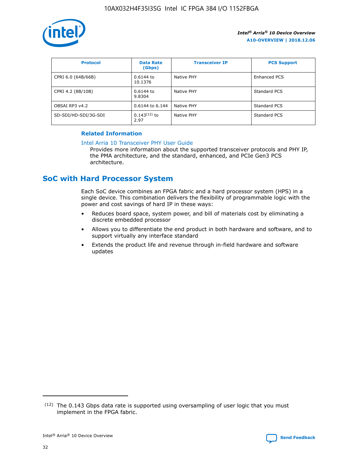

| <b>Protocol</b>      | <b>Data Rate</b><br>(Gbps) | <b>Transceiver IP</b> | <b>PCS Support</b> |
|----------------------|----------------------------|-----------------------|--------------------|
| CPRI 6.0 (64B/66B)   | 0.6144 to<br>10.1376       | Native PHY            | Enhanced PCS       |
| CPRI 4.2 (8B/10B)    | $0.6144$ to<br>9.8304      | Native PHY            | Standard PCS       |
| OBSAI RP3 v4.2       | 0.6144 to 6.144            | Native PHY            | Standard PCS       |
| SD-SDI/HD-SDI/3G-SDI | $0.143(12)$ to<br>2.97     | Native PHY            | Standard PCS       |

## **Related Information**

#### [Intel Arria 10 Transceiver PHY User Guide](https://www.intel.com/content/www/us/en/programmable/documentation/nik1398707230472.html#nik1398707091164)

Provides more information about the supported transceiver protocols and PHY IP, the PMA architecture, and the standard, enhanced, and PCIe Gen3 PCS architecture.

# **SoC with Hard Processor System**

Each SoC device combines an FPGA fabric and a hard processor system (HPS) in a single device. This combination delivers the flexibility of programmable logic with the power and cost savings of hard IP in these ways:

- Reduces board space, system power, and bill of materials cost by eliminating a discrete embedded processor
- Allows you to differentiate the end product in both hardware and software, and to support virtually any interface standard
- Extends the product life and revenue through in-field hardware and software updates

 $(12)$  The 0.143 Gbps data rate is supported using oversampling of user logic that you must implement in the FPGA fabric.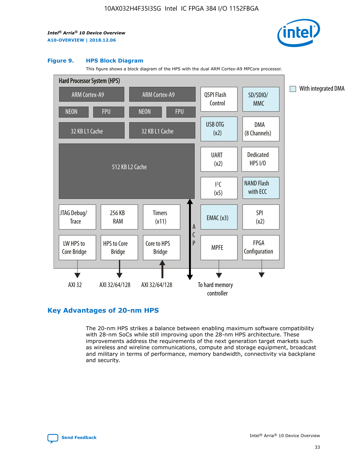

#### **Figure 9. HPS Block Diagram**

This figure shows a block diagram of the HPS with the dual ARM Cortex-A9 MPCore processor.



# **Key Advantages of 20-nm HPS**

The 20-nm HPS strikes a balance between enabling maximum software compatibility with 28-nm SoCs while still improving upon the 28-nm HPS architecture. These improvements address the requirements of the next generation target markets such as wireless and wireline communications, compute and storage equipment, broadcast and military in terms of performance, memory bandwidth, connectivity via backplane and security.

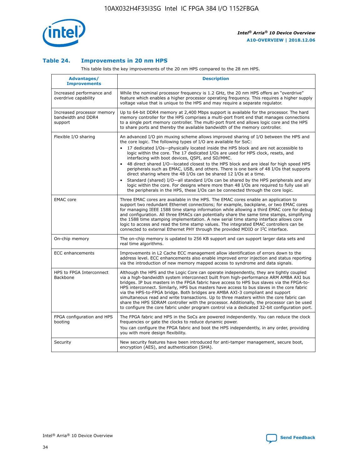

## **Table 24. Improvements in 20 nm HPS**

This table lists the key improvements of the 20 nm HPS compared to the 28 nm HPS.

| Advantages/<br><b>Improvements</b>                          | <b>Description</b>                                                                                                                                                                                                                                                                                                                                                                                                                                                                                                                                                                                                                                                                                                                                                                                                                                                                                                      |
|-------------------------------------------------------------|-------------------------------------------------------------------------------------------------------------------------------------------------------------------------------------------------------------------------------------------------------------------------------------------------------------------------------------------------------------------------------------------------------------------------------------------------------------------------------------------------------------------------------------------------------------------------------------------------------------------------------------------------------------------------------------------------------------------------------------------------------------------------------------------------------------------------------------------------------------------------------------------------------------------------|
| Increased performance and<br>overdrive capability           | While the nominal processor frequency is 1.2 GHz, the 20 nm HPS offers an "overdrive"<br>feature which enables a higher processor operating frequency. This requires a higher supply<br>voltage value that is unique to the HPS and may require a separate regulator.                                                                                                                                                                                                                                                                                                                                                                                                                                                                                                                                                                                                                                                   |
| Increased processor memory<br>bandwidth and DDR4<br>support | Up to 64-bit DDR4 memory at 2,400 Mbps support is available for the processor. The hard<br>memory controller for the HPS comprises a multi-port front end that manages connections<br>to a single port memory controller. The multi-port front end allows logic core and the HPS<br>to share ports and thereby the available bandwidth of the memory controller.                                                                                                                                                                                                                                                                                                                                                                                                                                                                                                                                                        |
| Flexible I/O sharing                                        | An advanced I/O pin muxing scheme allows improved sharing of I/O between the HPS and<br>the core logic. The following types of I/O are available for SoC:<br>17 dedicated I/Os-physically located inside the HPS block and are not accessible to<br>logic within the core. The 17 dedicated I/Os are used for HPS clock, resets, and<br>interfacing with boot devices, QSPI, and SD/MMC.<br>48 direct shared I/O-located closest to the HPS block and are ideal for high speed HPS<br>peripherals such as EMAC, USB, and others. There is one bank of 48 I/Os that supports<br>direct sharing where the 48 I/Os can be shared 12 I/Os at a time.<br>Standard (shared) I/O-all standard I/Os can be shared by the HPS peripherals and any<br>logic within the core. For designs where more than 48 I/Os are reguired to fully use all<br>the peripherals in the HPS, these I/Os can be connected through the core logic. |
| <b>EMAC</b> core                                            | Three EMAC cores are available in the HPS. The EMAC cores enable an application to<br>support two redundant Ethernet connections; for example, backplane, or two EMAC cores<br>for managing IEEE 1588 time stamp information while allowing a third EMAC core for debug<br>and configuration. All three EMACs can potentially share the same time stamps, simplifying<br>the 1588 time stamping implementation. A new serial time stamp interface allows core<br>logic to access and read the time stamp values. The integrated EMAC controllers can be<br>connected to external Ethernet PHY through the provided MDIO or I <sup>2</sup> C interface.                                                                                                                                                                                                                                                                  |
| On-chip memory                                              | The on-chip memory is updated to 256 KB support and can support larger data sets and<br>real time algorithms.                                                                                                                                                                                                                                                                                                                                                                                                                                                                                                                                                                                                                                                                                                                                                                                                           |
| <b>ECC</b> enhancements                                     | Improvements in L2 Cache ECC management allow identification of errors down to the<br>address level. ECC enhancements also enable improved error injection and status reporting<br>via the introduction of new memory mapped access to syndrome and data signals.                                                                                                                                                                                                                                                                                                                                                                                                                                                                                                                                                                                                                                                       |
| HPS to FPGA Interconnect<br>Backbone                        | Although the HPS and the Logic Core can operate independently, they are tightly coupled<br>via a high-bandwidth system interconnect built from high-performance ARM AMBA AXI bus<br>bridges. IP bus masters in the FPGA fabric have access to HPS bus slaves via the FPGA-to-<br>HPS interconnect. Similarly, HPS bus masters have access to bus slaves in the core fabric<br>via the HPS-to-FPGA bridge. Both bridges are AMBA AXI-3 compliant and support<br>simultaneous read and write transactions. Up to three masters within the core fabric can<br>share the HPS SDRAM controller with the processor. Additionally, the processor can be used<br>to configure the core fabric under program control via a dedicated 32-bit configuration port.                                                                                                                                                                  |
| FPGA configuration and HPS<br>booting                       | The FPGA fabric and HPS in the SoCs are powered independently. You can reduce the clock<br>frequencies or gate the clocks to reduce dynamic power.<br>You can configure the FPGA fabric and boot the HPS independently, in any order, providing<br>you with more design flexibility.                                                                                                                                                                                                                                                                                                                                                                                                                                                                                                                                                                                                                                    |
| Security                                                    | New security features have been introduced for anti-tamper management, secure boot,<br>encryption (AES), and authentication (SHA).                                                                                                                                                                                                                                                                                                                                                                                                                                                                                                                                                                                                                                                                                                                                                                                      |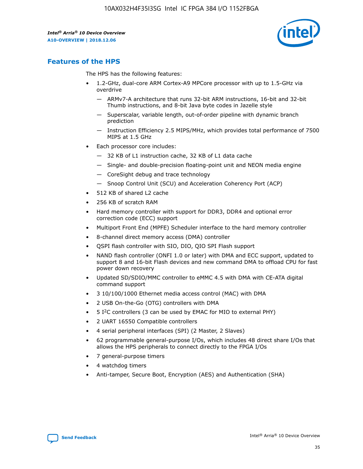

# **Features of the HPS**

The HPS has the following features:

- 1.2-GHz, dual-core ARM Cortex-A9 MPCore processor with up to 1.5-GHz via overdrive
	- ARMv7-A architecture that runs 32-bit ARM instructions, 16-bit and 32-bit Thumb instructions, and 8-bit Java byte codes in Jazelle style
	- Superscalar, variable length, out-of-order pipeline with dynamic branch prediction
	- Instruction Efficiency 2.5 MIPS/MHz, which provides total performance of 7500 MIPS at 1.5 GHz
- Each processor core includes:
	- 32 KB of L1 instruction cache, 32 KB of L1 data cache
	- Single- and double-precision floating-point unit and NEON media engine
	- CoreSight debug and trace technology
	- Snoop Control Unit (SCU) and Acceleration Coherency Port (ACP)
- 512 KB of shared L2 cache
- 256 KB of scratch RAM
- Hard memory controller with support for DDR3, DDR4 and optional error correction code (ECC) support
- Multiport Front End (MPFE) Scheduler interface to the hard memory controller
- 8-channel direct memory access (DMA) controller
- QSPI flash controller with SIO, DIO, QIO SPI Flash support
- NAND flash controller (ONFI 1.0 or later) with DMA and ECC support, updated to support 8 and 16-bit Flash devices and new command DMA to offload CPU for fast power down recovery
- Updated SD/SDIO/MMC controller to eMMC 4.5 with DMA with CE-ATA digital command support
- 3 10/100/1000 Ethernet media access control (MAC) with DMA
- 2 USB On-the-Go (OTG) controllers with DMA
- $\bullet$  5 I<sup>2</sup>C controllers (3 can be used by EMAC for MIO to external PHY)
- 2 UART 16550 Compatible controllers
- 4 serial peripheral interfaces (SPI) (2 Master, 2 Slaves)
- 62 programmable general-purpose I/Os, which includes 48 direct share I/Os that allows the HPS peripherals to connect directly to the FPGA I/Os
- 7 general-purpose timers
- 4 watchdog timers
- Anti-tamper, Secure Boot, Encryption (AES) and Authentication (SHA)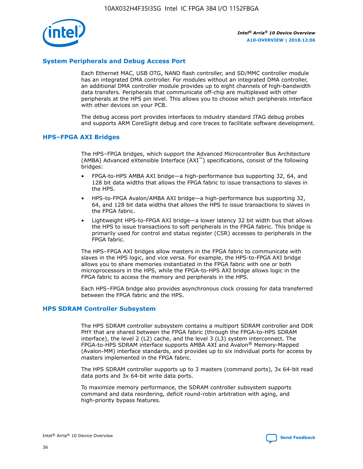

## **System Peripherals and Debug Access Port**

Each Ethernet MAC, USB OTG, NAND flash controller, and SD/MMC controller module has an integrated DMA controller. For modules without an integrated DMA controller, an additional DMA controller module provides up to eight channels of high-bandwidth data transfers. Peripherals that communicate off-chip are multiplexed with other peripherals at the HPS pin level. This allows you to choose which peripherals interface with other devices on your PCB.

The debug access port provides interfaces to industry standard JTAG debug probes and supports ARM CoreSight debug and core traces to facilitate software development.

#### **HPS–FPGA AXI Bridges**

The HPS–FPGA bridges, which support the Advanced Microcontroller Bus Architecture (AMBA) Advanced eXtensible Interface (AXI™) specifications, consist of the following bridges:

- FPGA-to-HPS AMBA AXI bridge—a high-performance bus supporting 32, 64, and 128 bit data widths that allows the FPGA fabric to issue transactions to slaves in the HPS.
- HPS-to-FPGA Avalon/AMBA AXI bridge—a high-performance bus supporting 32, 64, and 128 bit data widths that allows the HPS to issue transactions to slaves in the FPGA fabric.
- Lightweight HPS-to-FPGA AXI bridge—a lower latency 32 bit width bus that allows the HPS to issue transactions to soft peripherals in the FPGA fabric. This bridge is primarily used for control and status register (CSR) accesses to peripherals in the FPGA fabric.

The HPS–FPGA AXI bridges allow masters in the FPGA fabric to communicate with slaves in the HPS logic, and vice versa. For example, the HPS-to-FPGA AXI bridge allows you to share memories instantiated in the FPGA fabric with one or both microprocessors in the HPS, while the FPGA-to-HPS AXI bridge allows logic in the FPGA fabric to access the memory and peripherals in the HPS.

Each HPS–FPGA bridge also provides asynchronous clock crossing for data transferred between the FPGA fabric and the HPS.

#### **HPS SDRAM Controller Subsystem**

The HPS SDRAM controller subsystem contains a multiport SDRAM controller and DDR PHY that are shared between the FPGA fabric (through the FPGA-to-HPS SDRAM interface), the level 2 (L2) cache, and the level 3 (L3) system interconnect. The FPGA-to-HPS SDRAM interface supports AMBA AXI and Avalon® Memory-Mapped (Avalon-MM) interface standards, and provides up to six individual ports for access by masters implemented in the FPGA fabric.

The HPS SDRAM controller supports up to 3 masters (command ports), 3x 64-bit read data ports and 3x 64-bit write data ports.

To maximize memory performance, the SDRAM controller subsystem supports command and data reordering, deficit round-robin arbitration with aging, and high-priority bypass features.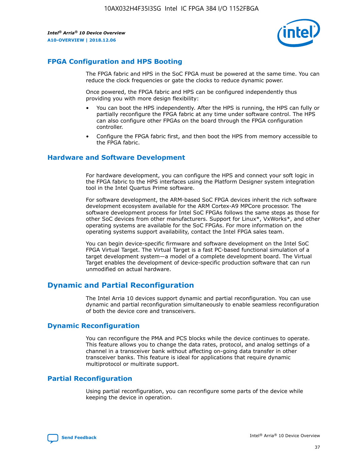

# **FPGA Configuration and HPS Booting**

The FPGA fabric and HPS in the SoC FPGA must be powered at the same time. You can reduce the clock frequencies or gate the clocks to reduce dynamic power.

Once powered, the FPGA fabric and HPS can be configured independently thus providing you with more design flexibility:

- You can boot the HPS independently. After the HPS is running, the HPS can fully or partially reconfigure the FPGA fabric at any time under software control. The HPS can also configure other FPGAs on the board through the FPGA configuration controller.
- Configure the FPGA fabric first, and then boot the HPS from memory accessible to the FPGA fabric.

## **Hardware and Software Development**

For hardware development, you can configure the HPS and connect your soft logic in the FPGA fabric to the HPS interfaces using the Platform Designer system integration tool in the Intel Quartus Prime software.

For software development, the ARM-based SoC FPGA devices inherit the rich software development ecosystem available for the ARM Cortex-A9 MPCore processor. The software development process for Intel SoC FPGAs follows the same steps as those for other SoC devices from other manufacturers. Support for Linux\*, VxWorks\*, and other operating systems are available for the SoC FPGAs. For more information on the operating systems support availability, contact the Intel FPGA sales team.

You can begin device-specific firmware and software development on the Intel SoC FPGA Virtual Target. The Virtual Target is a fast PC-based functional simulation of a target development system—a model of a complete development board. The Virtual Target enables the development of device-specific production software that can run unmodified on actual hardware.

# **Dynamic and Partial Reconfiguration**

The Intel Arria 10 devices support dynamic and partial reconfiguration. You can use dynamic and partial reconfiguration simultaneously to enable seamless reconfiguration of both the device core and transceivers.

# **Dynamic Reconfiguration**

You can reconfigure the PMA and PCS blocks while the device continues to operate. This feature allows you to change the data rates, protocol, and analog settings of a channel in a transceiver bank without affecting on-going data transfer in other transceiver banks. This feature is ideal for applications that require dynamic multiprotocol or multirate support.

# **Partial Reconfiguration**

Using partial reconfiguration, you can reconfigure some parts of the device while keeping the device in operation.

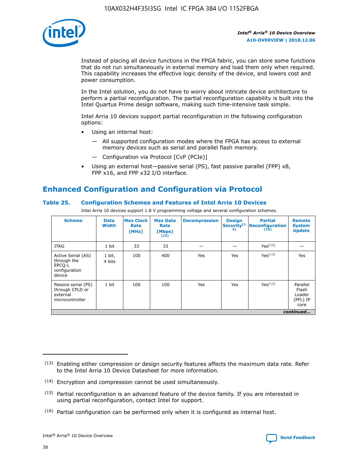

Instead of placing all device functions in the FPGA fabric, you can store some functions that do not run simultaneously in external memory and load them only when required. This capability increases the effective logic density of the device, and lowers cost and power consumption.

In the Intel solution, you do not have to worry about intricate device architecture to perform a partial reconfiguration. The partial reconfiguration capability is built into the Intel Quartus Prime design software, making such time-intensive task simple.

Intel Arria 10 devices support partial reconfiguration in the following configuration options:

- Using an internal host:
	- All supported configuration modes where the FPGA has access to external memory devices such as serial and parallel flash memory.
	- Configuration via Protocol [CvP (PCIe)]
- Using an external host—passive serial (PS), fast passive parallel (FPP) x8, FPP x16, and FPP x32 I/O interface.

# **Enhanced Configuration and Configuration via Protocol**

## **Table 25. Configuration Schemes and Features of Intel Arria 10 Devices**

Intel Arria 10 devices support 1.8 V programming voltage and several configuration schemes.

| <b>Scheme</b>                                                          | <b>Data</b><br><b>Width</b> | <b>Max Clock</b><br>Rate<br>(MHz) | <b>Max Data</b><br>Rate<br>(Mbps)<br>(13) | <b>Decompression</b> | <b>Design</b><br>Security <sup>(1</sup><br>4) | <b>Partial</b><br>Reconfiguration<br>(15) | <b>Remote</b><br><b>System</b><br><b>Update</b> |
|------------------------------------------------------------------------|-----------------------------|-----------------------------------|-------------------------------------------|----------------------|-----------------------------------------------|-------------------------------------------|-------------------------------------------------|
| <b>JTAG</b>                                                            | 1 bit                       | 33                                | 33                                        |                      |                                               | Yes(16)                                   |                                                 |
| Active Serial (AS)<br>through the<br>EPCO-L<br>configuration<br>device | 1 bit,<br>4 bits            | 100                               | 400                                       | Yes                  | Yes                                           | Yes(16)                                   | Yes                                             |
| Passive serial (PS)<br>through CPLD or<br>external<br>microcontroller  | 1 bit                       | 100                               | 100                                       | Yes                  | Yes                                           | Yes <sup>(16)</sup>                       | Parallel<br>Flash<br>Loader<br>(PFL) IP<br>core |
|                                                                        |                             |                                   |                                           |                      |                                               |                                           | continued                                       |

<sup>(13)</sup> Enabling either compression or design security features affects the maximum data rate. Refer to the Intel Arria 10 Device Datasheet for more information.

<sup>(14)</sup> Encryption and compression cannot be used simultaneously.

 $(15)$  Partial reconfiguration is an advanced feature of the device family. If you are interested in using partial reconfiguration, contact Intel for support.

 $(16)$  Partial configuration can be performed only when it is configured as internal host.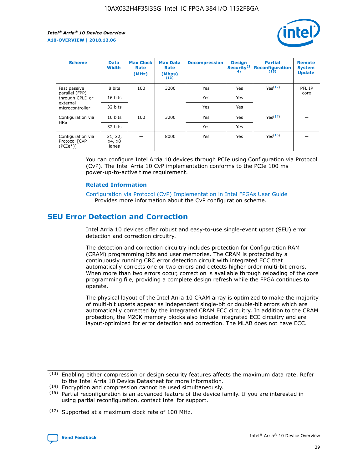

| <b>Scheme</b>                                   | <b>Data</b><br><b>Width</b> | <b>Max Clock</b><br>Rate<br>(MHz) | <b>Max Data</b><br>Rate<br>(Mbps)<br>(13) | <b>Decompression</b> | <b>Design</b><br>Security <sup>(1</sup><br>4) | <b>Partial</b><br><b>Reconfiguration</b><br>(15) | <b>Remote</b><br><b>System</b><br><b>Update</b> |
|-------------------------------------------------|-----------------------------|-----------------------------------|-------------------------------------------|----------------------|-----------------------------------------------|--------------------------------------------------|-------------------------------------------------|
| Fast passive                                    | 8 bits                      | 100                               | 3200                                      | Yes                  | Yes                                           | Yes(17)                                          | PFL IP                                          |
| parallel (FPP)<br>through CPLD or               | 16 bits                     |                                   |                                           | Yes                  | Yes                                           |                                                  | core                                            |
| external<br>microcontroller                     | 32 bits                     |                                   |                                           | Yes                  | Yes                                           |                                                  |                                                 |
| Configuration via                               | 16 bits                     | 100                               | 3200                                      | Yes                  | Yes                                           | Yes <sup>(17)</sup>                              |                                                 |
| <b>HPS</b>                                      | 32 bits                     |                                   |                                           | Yes                  | Yes                                           |                                                  |                                                 |
| Configuration via<br>Protocol [CvP<br>$(PCIe*)$ | x1, x2,<br>x4, x8<br>lanes  |                                   | 8000                                      | Yes                  | Yes                                           | Yes <sup>(16)</sup>                              |                                                 |

You can configure Intel Arria 10 devices through PCIe using Configuration via Protocol (CvP). The Intel Arria 10 CvP implementation conforms to the PCIe 100 ms power-up-to-active time requirement.

#### **Related Information**

[Configuration via Protocol \(CvP\) Implementation in Intel FPGAs User Guide](https://www.intel.com/content/www/us/en/programmable/documentation/dsu1441819344145.html#dsu1442269728522) Provides more information about the CvP configuration scheme.

# **SEU Error Detection and Correction**

Intel Arria 10 devices offer robust and easy-to-use single-event upset (SEU) error detection and correction circuitry.

The detection and correction circuitry includes protection for Configuration RAM (CRAM) programming bits and user memories. The CRAM is protected by a continuously running CRC error detection circuit with integrated ECC that automatically corrects one or two errors and detects higher order multi-bit errors. When more than two errors occur, correction is available through reloading of the core programming file, providing a complete design refresh while the FPGA continues to operate.

The physical layout of the Intel Arria 10 CRAM array is optimized to make the majority of multi-bit upsets appear as independent single-bit or double-bit errors which are automatically corrected by the integrated CRAM ECC circuitry. In addition to the CRAM protection, the M20K memory blocks also include integrated ECC circuitry and are layout-optimized for error detection and correction. The MLAB does not have ECC.

(14) Encryption and compression cannot be used simultaneously.

<sup>(17)</sup> Supported at a maximum clock rate of 100 MHz.



 $(13)$  Enabling either compression or design security features affects the maximum data rate. Refer to the Intel Arria 10 Device Datasheet for more information.

 $(15)$  Partial reconfiguration is an advanced feature of the device family. If you are interested in using partial reconfiguration, contact Intel for support.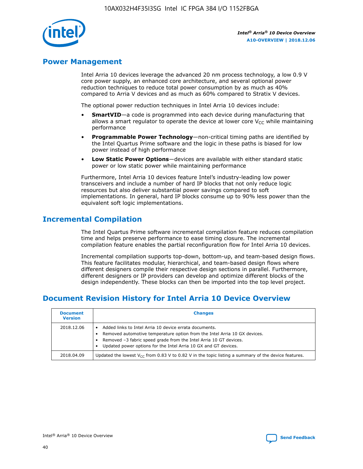

# **Power Management**

Intel Arria 10 devices leverage the advanced 20 nm process technology, a low 0.9 V core power supply, an enhanced core architecture, and several optional power reduction techniques to reduce total power consumption by as much as 40% compared to Arria V devices and as much as 60% compared to Stratix V devices.

The optional power reduction techniques in Intel Arria 10 devices include:

- **SmartVID**—a code is programmed into each device during manufacturing that allows a smart regulator to operate the device at lower core  $V_{CC}$  while maintaining performance
- **Programmable Power Technology**—non-critical timing paths are identified by the Intel Quartus Prime software and the logic in these paths is biased for low power instead of high performance
- **Low Static Power Options**—devices are available with either standard static power or low static power while maintaining performance

Furthermore, Intel Arria 10 devices feature Intel's industry-leading low power transceivers and include a number of hard IP blocks that not only reduce logic resources but also deliver substantial power savings compared to soft implementations. In general, hard IP blocks consume up to 90% less power than the equivalent soft logic implementations.

# **Incremental Compilation**

The Intel Quartus Prime software incremental compilation feature reduces compilation time and helps preserve performance to ease timing closure. The incremental compilation feature enables the partial reconfiguration flow for Intel Arria 10 devices.

Incremental compilation supports top-down, bottom-up, and team-based design flows. This feature facilitates modular, hierarchical, and team-based design flows where different designers compile their respective design sections in parallel. Furthermore, different designers or IP providers can develop and optimize different blocks of the design independently. These blocks can then be imported into the top level project.

# **Document Revision History for Intel Arria 10 Device Overview**

| <b>Document</b><br><b>Version</b> | <b>Changes</b>                                                                                                                                                                                                                                                              |
|-----------------------------------|-----------------------------------------------------------------------------------------------------------------------------------------------------------------------------------------------------------------------------------------------------------------------------|
| 2018.12.06                        | Added links to Intel Arria 10 device errata documents.<br>Removed automotive temperature option from the Intel Arria 10 GX devices.<br>Removed -3 fabric speed grade from the Intel Arria 10 GT devices.<br>Updated power options for the Intel Arria 10 GX and GT devices. |
| 2018.04.09                        | Updated the lowest $V_{CC}$ from 0.83 V to 0.82 V in the topic listing a summary of the device features.                                                                                                                                                                    |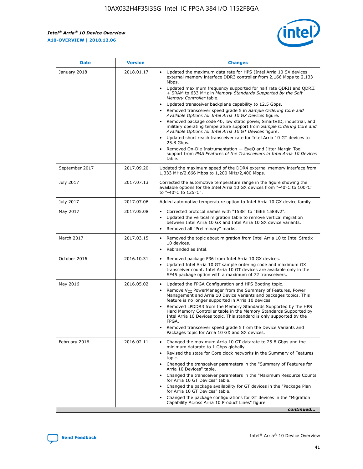

| <b>Date</b>    | <b>Version</b> | <b>Changes</b>                                                                                                                                                                                                                                                                                                                                                                                                                                                                                                                                                                                                                                                                                                                                                                                                                                                                                                                                               |
|----------------|----------------|--------------------------------------------------------------------------------------------------------------------------------------------------------------------------------------------------------------------------------------------------------------------------------------------------------------------------------------------------------------------------------------------------------------------------------------------------------------------------------------------------------------------------------------------------------------------------------------------------------------------------------------------------------------------------------------------------------------------------------------------------------------------------------------------------------------------------------------------------------------------------------------------------------------------------------------------------------------|
| January 2018   | 2018.01.17     | Updated the maximum data rate for HPS (Intel Arria 10 SX devices<br>external memory interface DDR3 controller from 2,166 Mbps to 2,133<br>Mbps.<br>Updated maximum frequency supported for half rate QDRII and QDRII<br>+ SRAM to 633 MHz in Memory Standards Supported by the Soft<br>Memory Controller table.<br>Updated transceiver backplane capability to 12.5 Gbps.<br>Removed transceiver speed grade 5 in Sample Ordering Core and<br>Available Options for Intel Arria 10 GX Devices figure.<br>Removed package code 40, low static power, SmartVID, industrial, and<br>military operating temperature support from Sample Ordering Core and<br>Available Options for Intel Arria 10 GT Devices figure.<br>Updated short reach transceiver rate for Intel Arria 10 GT devices to<br>25.8 Gbps.<br>Removed On-Die Instrumentation - EyeQ and Jitter Margin Tool<br>support from PMA Features of the Transceivers in Intel Arria 10 Devices<br>table. |
| September 2017 | 2017.09.20     | Updated the maximum speed of the DDR4 external memory interface from<br>1,333 MHz/2,666 Mbps to 1,200 MHz/2,400 Mbps.                                                                                                                                                                                                                                                                                                                                                                                                                                                                                                                                                                                                                                                                                                                                                                                                                                        |
| July 2017      | 2017.07.13     | Corrected the automotive temperature range in the figure showing the<br>available options for the Intel Arria 10 GX devices from "-40°C to 100°C"<br>to "-40°C to 125°C".                                                                                                                                                                                                                                                                                                                                                                                                                                                                                                                                                                                                                                                                                                                                                                                    |
| July 2017      | 2017.07.06     | Added automotive temperature option to Intel Arria 10 GX device family.                                                                                                                                                                                                                                                                                                                                                                                                                                                                                                                                                                                                                                                                                                                                                                                                                                                                                      |
| May 2017       | 2017.05.08     | Corrected protocol names with "1588" to "IEEE 1588v2".<br>$\bullet$<br>Updated the vertical migration table to remove vertical migration<br>$\bullet$<br>between Intel Arria 10 GX and Intel Arria 10 SX device variants.<br>Removed all "Preliminary" marks.<br>$\bullet$                                                                                                                                                                                                                                                                                                                                                                                                                                                                                                                                                                                                                                                                                   |
| March 2017     | 2017.03.15     | Removed the topic about migration from Intel Arria 10 to Intel Stratix<br>$\bullet$<br>10 devices.<br>Rebranded as Intel.<br>$\bullet$                                                                                                                                                                                                                                                                                                                                                                                                                                                                                                                                                                                                                                                                                                                                                                                                                       |
| October 2016   | 2016.10.31     | Removed package F36 from Intel Arria 10 GX devices.<br>Updated Intel Arria 10 GT sample ordering code and maximum GX<br>$\bullet$<br>transceiver count. Intel Arria 10 GT devices are available only in the<br>SF45 package option with a maximum of 72 transceivers.                                                                                                                                                                                                                                                                                                                                                                                                                                                                                                                                                                                                                                                                                        |
| May 2016       | 2016.05.02     | Updated the FPGA Configuration and HPS Booting topic.<br>$\bullet$<br>Remove V <sub>CC</sub> PowerManager from the Summary of Features, Power<br>Management and Arria 10 Device Variants and packages topics. This<br>feature is no longer supported in Arria 10 devices.<br>Removed LPDDR3 from the Memory Standards Supported by the HPS<br>Hard Memory Controller table in the Memory Standards Supported by<br>Intel Arria 10 Devices topic. This standard is only supported by the<br><b>FPGA</b><br>Removed transceiver speed grade 5 from the Device Variants and<br>Packages topic for Arria 10 GX and SX devices.                                                                                                                                                                                                                                                                                                                                   |
| February 2016  | 2016.02.11     | Changed the maximum Arria 10 GT datarate to 25.8 Gbps and the<br>$\bullet$<br>minimum datarate to 1 Gbps globally.<br>Revised the state for Core clock networks in the Summary of Features<br>$\bullet$<br>topic.<br>Changed the transceiver parameters in the "Summary of Features for<br>$\bullet$<br>Arria 10 Devices" table.<br>Changed the transceiver parameters in the "Maximum Resource Counts<br>for Arria 10 GT Devices" table.<br>Changed the package availability for GT devices in the "Package Plan<br>for Arria 10 GT Devices" table.<br>Changed the package configurations for GT devices in the "Migration"<br>Capability Across Arria 10 Product Lines" figure.<br>continued                                                                                                                                                                                                                                                               |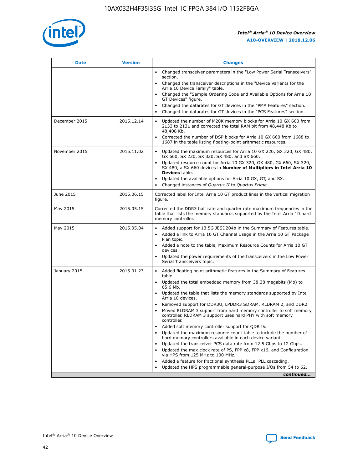

| <b>Date</b>   | <b>Version</b> | <b>Changes</b>                                                                                                                                                                   |
|---------------|----------------|----------------------------------------------------------------------------------------------------------------------------------------------------------------------------------|
|               |                | • Changed transceiver parameters in the "Low Power Serial Transceivers"<br>section.                                                                                              |
|               |                | • Changed the transceiver descriptions in the "Device Variants for the<br>Arria 10 Device Family" table.                                                                         |
|               |                | Changed the "Sample Ordering Code and Available Options for Arria 10<br>GT Devices" figure.                                                                                      |
|               |                | Changed the datarates for GT devices in the "PMA Features" section.                                                                                                              |
|               |                | Changed the datarates for GT devices in the "PCS Features" section.<br>$\bullet$                                                                                                 |
| December 2015 | 2015.12.14     | Updated the number of M20K memory blocks for Arria 10 GX 660 from<br>2133 to 2131 and corrected the total RAM bit from 48,448 Kb to<br>48,408 Kb.                                |
|               |                | Corrected the number of DSP blocks for Arria 10 GX 660 from 1688 to<br>1687 in the table listing floating-point arithmetic resources.                                            |
| November 2015 | 2015.11.02     | Updated the maximum resources for Arria 10 GX 220, GX 320, GX 480,<br>$\bullet$<br>GX 660, SX 220, SX 320, SX 480, and SX 660.                                                   |
|               |                | Updated resource count for Arria 10 GX 320, GX 480, GX 660, SX 320,<br>$\bullet$<br>SX 480, a SX 660 devices in Number of Multipliers in Intel Arria 10<br><b>Devices</b> table. |
|               |                | Updated the available options for Arria 10 GX, GT, and SX.                                                                                                                       |
|               |                | Changed instances of Quartus II to Quartus Prime.<br>$\bullet$                                                                                                                   |
| June 2015     | 2015.06.15     | Corrected label for Intel Arria 10 GT product lines in the vertical migration<br>figure.                                                                                         |
| May 2015      | 2015.05.15     | Corrected the DDR3 half rate and quarter rate maximum frequencies in the<br>table that lists the memory standards supported by the Intel Arria 10 hard<br>memory controller.     |
| May 2015      | 2015.05.04     | • Added support for 13.5G JESD204b in the Summary of Features table.<br>Added a link to Arria 10 GT Channel Usage in the Arria 10 GT Package<br>$\bullet$<br>Plan topic.         |
|               |                | • Added a note to the table, Maximum Resource Counts for Arria 10 GT<br>devices.                                                                                                 |
|               |                | Updated the power requirements of the transceivers in the Low Power<br>Serial Transceivers topic.                                                                                |
| January 2015  | 2015.01.23     | • Added floating point arithmetic features in the Summary of Features<br>table.                                                                                                  |
|               |                | Updated the total embedded memory from 38.38 megabits (Mb) to<br>$\bullet$<br>65.6 Mb.                                                                                           |
|               |                | Updated the table that lists the memory standards supported by Intel<br>Arria 10 devices.                                                                                        |
|               |                | Removed support for DDR3U, LPDDR3 SDRAM, RLDRAM 2, and DDR2.                                                                                                                     |
|               |                | Moved RLDRAM 3 support from hard memory controller to soft memory<br>controller. RLDRAM 3 support uses hard PHY with soft memory<br>controller.                                  |
|               |                | Added soft memory controller support for QDR IV.                                                                                                                                 |
|               |                | Updated the maximum resource count table to include the number of<br>hard memory controllers available in each device variant.                                                   |
|               |                | Updated the transceiver PCS data rate from 12.5 Gbps to 12 Gbps.<br>$\bullet$                                                                                                    |
|               |                | Updated the max clock rate of PS, FPP x8, FPP x16, and Configuration<br>via HPS from 125 MHz to 100 MHz.                                                                         |
|               |                | Added a feature for fractional synthesis PLLs: PLL cascading.                                                                                                                    |
|               |                | Updated the HPS programmable general-purpose I/Os from 54 to 62.                                                                                                                 |
|               |                | continued                                                                                                                                                                        |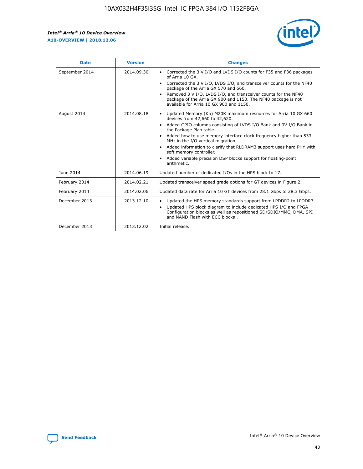r



| <b>Date</b>    | <b>Version</b> | <b>Changes</b>                                                                                                                                                                                                                                                                                                                                                                                                                                                                                                                         |
|----------------|----------------|----------------------------------------------------------------------------------------------------------------------------------------------------------------------------------------------------------------------------------------------------------------------------------------------------------------------------------------------------------------------------------------------------------------------------------------------------------------------------------------------------------------------------------------|
| September 2014 | 2014.09.30     | Corrected the 3 V I/O and LVDS I/O counts for F35 and F36 packages<br>of Arria 10 GX.<br>Corrected the 3 V I/O, LVDS I/O, and transceiver counts for the NF40<br>$\bullet$<br>package of the Arria GX 570 and 660.<br>Removed 3 V I/O, LVDS I/O, and transceiver counts for the NF40<br>package of the Arria GX 900 and 1150. The NF40 package is not<br>available for Arria 10 GX 900 and 1150.                                                                                                                                       |
| August 2014    | 2014.08.18     | Updated Memory (Kb) M20K maximum resources for Arria 10 GX 660<br>devices from 42,660 to 42,620.<br>Added GPIO columns consisting of LVDS I/O Bank and 3V I/O Bank in<br>$\bullet$<br>the Package Plan table.<br>Added how to use memory interface clock frequency higher than 533<br>$\bullet$<br>MHz in the I/O vertical migration.<br>Added information to clarify that RLDRAM3 support uses hard PHY with<br>$\bullet$<br>soft memory controller.<br>Added variable precision DSP blocks support for floating-point<br>arithmetic. |
| June 2014      | 2014.06.19     | Updated number of dedicated I/Os in the HPS block to 17.                                                                                                                                                                                                                                                                                                                                                                                                                                                                               |
| February 2014  | 2014.02.21     | Updated transceiver speed grade options for GT devices in Figure 2.                                                                                                                                                                                                                                                                                                                                                                                                                                                                    |
| February 2014  | 2014.02.06     | Updated data rate for Arria 10 GT devices from 28.1 Gbps to 28.3 Gbps.                                                                                                                                                                                                                                                                                                                                                                                                                                                                 |
| December 2013  | 2013.12.10     | Updated the HPS memory standards support from LPDDR2 to LPDDR3.<br>Updated HPS block diagram to include dedicated HPS I/O and FPGA<br>$\bullet$<br>Configuration blocks as well as repositioned SD/SDIO/MMC, DMA, SPI<br>and NAND Flash with ECC blocks.                                                                                                                                                                                                                                                                               |
| December 2013  | 2013.12.02     | Initial release.                                                                                                                                                                                                                                                                                                                                                                                                                                                                                                                       |